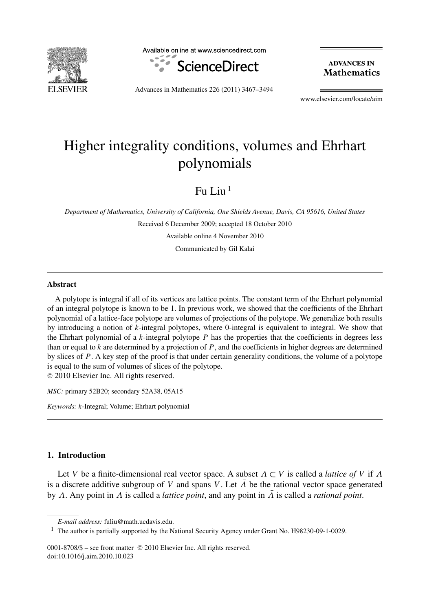

Available online at www.sciencedirect.com



**ADVANCES IN Mathematics** 

Advances in Mathematics 226 (2011) 3467–3494

www.elsevier.com/locate/aim

# Higher integrality conditions, volumes and Ehrhart polynomials

Fu I in  $<sup>1</sup>$ </sup>

*Department of Mathematics, University of California, One Shields Avenue, Davis, CA 95616, United States* Received 6 December 2009; accepted 18 October 2010 Available online 4 November 2010 Communicated by Gil Kalai

# **Abstract**

A polytope is integral if all of its vertices are lattice points. The constant term of the Ehrhart polynomial of an integral polytope is known to be 1. In previous work, we showed that the coefficients of the Ehrhart polynomial of a lattice-face polytope are volumes of projections of the polytope. We generalize both results by introducing a notion of *k*-integral polytopes, where 0-integral is equivalent to integral. We show that the Ehrhart polynomial of a *k*-integral polytope *P* has the properties that the coefficients in degrees less than or equal to  $k$  are determined by a projection of  $P$ , and the coefficients in higher degrees are determined by slices of P. A key step of the proof is that under certain generality conditions, the volume of a polytope is equal to the sum of volumes of slices of the polytope. © 2010 Elsevier Inc. All rights reserved.

*MSC:* primary 52B20; secondary 52A38, 05A15

*Keywords: k*-Integral; Volume; Ehrhart polynomial

# **1. Introduction**

Let *V* be a finite-dimensional real vector space. A subset  $\Lambda \subset V$  is called a *lattice of V* if  $\Lambda$ is a discrete additive subgroup of *V* and spans *V*. Let  $\overline{\Lambda}$  be the rational vector space generated by *Λ*. Any point in *Λ* is called a *lattice point*, and any point in *Λ*¯ is called a *rational point*.

0001-8708/\$ – see front matter © 2010 Elsevier Inc. All rights reserved. doi:10.1016/j.aim.2010.10.023

*E-mail address:* fuliu@math.ucdavis.edu.

<sup>1</sup> The author is partially supported by the National Security Agency under Grant No. H98230-09-1-0029.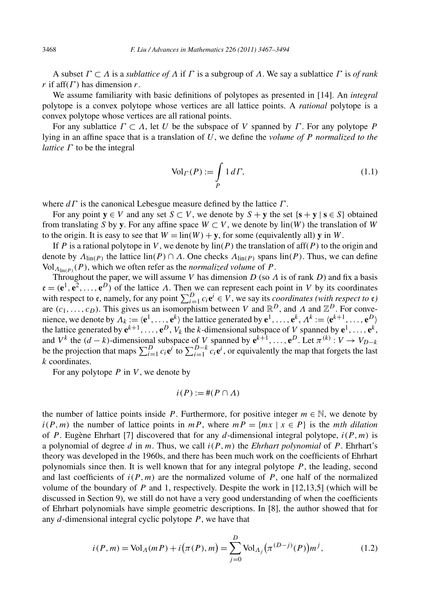A subset *Γ* ⊂ *Λ* is a *sublattice of Λ* if *Γ* is a subgroup of *Λ*. We say a sublattice *Γ* is *of rank r* if aff $(\Gamma)$  has dimension *r*.

We assume familiarity with basic definitions of polytopes as presented in [14]. An *integral* polytope is a convex polytope whose vertices are all lattice points. A *rational* polytope is a convex polytope whose vertices are all rational points.

For any sublattice *Γ* ⊂ *Λ*, let *U* be the subspace of *V* spanned by *Γ* . For any polytope *P* lying in an affine space that is a translation of *U*, we define the *volume of P normalized to the lattice*  $Γ$  to be the integral

$$
\text{Vol}_{\Gamma}(P) := \int\limits_{P} 1 d\Gamma,\tag{1.1}
$$

where *dΓ* is the canonical Lebesgue measure defined by the lattice *Γ* .

For any point  $y \in V$  and any set  $S \subset V$ , we denote by  $S + y$  the set  $\{s + y \mid s \in S\}$  obtained from translating *S* by **y**. For any affine space  $W \subset V$ , we denote by  $\text{lin}(W)$  the translation of W to the origin. It is easy to see that  $W = \text{lin}(W) + \mathbf{y}$ , for some (equivalently all) **y** in W.

If *P* is a rational polytope in *V* , we denote by lin*(P )* the translation of aff*(P )* to the origin and denote by  $\Lambda_{\text{lin}(P)}$  the lattice  $\text{lin}(P) \cap \Lambda$ . One checks  $\Lambda_{\text{lin}(P)}$  spans  $\text{lin}(P)$ . Thus, we can define  $Vol_{\Lambda_{\text{lin}(P)}}(P)$ , which we often refer as the *normalized volume* of *P*.

Throughout the paper, we will assume *V* has dimension *D* (so *Λ* is of rank *D*) and fix a basis  $\mathbf{e} = (\mathbf{e}^1, \mathbf{e}^2, \dots, \mathbf{e}^D)$  of the lattice *Λ*. Then we can represent each point in *V* by its coordinates with respect to  $e$ , namely, for any point  $\sum_{i=1}^{D} c_i e^i \in V$ , we say its *coordinates (with respect to*  $e$ ) are  $(c_1, \ldots, c_D)$ . This gives us an isomorphism between *V* and  $\mathbb{R}^D$ , and *Λ* and  $\mathbb{Z}^D$ . For convenience, we denote by  $\Lambda_k := \langle e^1, \ldots, e^k \rangle$  the lattice generated by  $e^1, \ldots, e^k, \Lambda^k := \langle e^{k+1}, \ldots, e^D \rangle$ the lattice generated by  $e^{k+1}, \ldots, e^D$ ,  $V_k$  the *k*-dimensional subspace of *V* spanned by  $e^1, \ldots, e^k$ , and  $V^k$  the  $(d - k)$ -dimensional subspace of *V* spanned by  $e^{k+1}, \ldots, e^D$ . Let  $\pi^{(k)}: V \to V_{D-k}$ be the projection that maps  $\sum_{i=1}^{D} c_i \mathbf{e}^i$  to  $\sum_{i=1}^{D-k} c_i \mathbf{e}^i$ , or equivalently the map that forgets the last *k* coordinates.

For any polytope *P* in *V* , we denote by

$$
i(P) := \#(P \cap \Lambda)
$$

the number of lattice points inside *P*. Furthermore, for positive integer  $m \in \mathbb{N}$ , we denote by  $i(P, m)$  the number of lattice points in *mP*, where  $mP = \{mx \mid x \in P\}$  is the *mth dilation* of *P* . Eugène Ehrhart [7] discovered that for any *d*-dimensional integral polytope, *i(P , m)* is a polynomial of degree  $d$  in  $m$ . Thus, we call  $i(P, m)$  the *Ehrhart polynomial* of  $P$ . Ehrhart's theory was developed in the 1960s, and there has been much work on the coefficients of Ehrhart polynomials since then. It is well known that for any integral polytope *P* , the leading, second and last coefficients of  $i(P, m)$  are the normalized volume of  $P$ , one half of the normalized volume of the boundary of *P* and 1, respectively. Despite the work in [12,13,5] (which will be discussed in Section 9), we still do not have a very good understanding of when the coefficients of Ehrhart polynomials have simple geometric descriptions. In [8], the author showed that for any *d*-dimensional integral cyclic polytope *P* , we have that

$$
i(P,m) = VolA(mP) + i(\pi(P), m) = \sum_{j=0}^{D} VolAj(\pi^{(D-j)}(P))mj,
$$
 (1.2)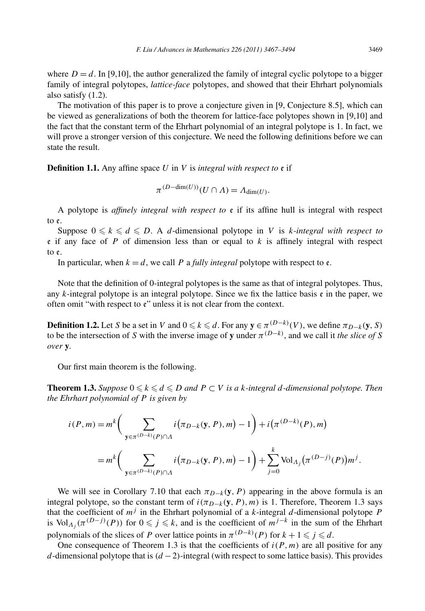where  $D = d$ . In [9,10], the author generalized the family of integral cyclic polytope to a bigger family of integral polytopes, *lattice-face* polytopes, and showed that their Ehrhart polynomials also satisfy (1.2).

The motivation of this paper is to prove a conjecture given in [9, Conjecture 8.5], which can be viewed as generalizations of both the theorem for lattice-face polytopes shown in [9,10] and the fact that the constant term of the Ehrhart polynomial of an integral polytope is 1. In fact, we will prove a stronger version of this conjecture. We need the following definitions before we can state the result.

**Definition 1.1.** Any affine space *U* in *V* is *integral with respect to* e if

$$
\pi^{(D-\dim(U))}(U \cap \Lambda) = \Lambda_{\dim(U)}.
$$

A polytope is *affinely integral with respect to* e if its affine hull is integral with respect to e.

Suppose  $0 \leq k \leq d \leq D$ . A *d*-dimensional polytope in *V* is *k*-integral with respect to e if any face of *P* of dimension less than or equal to *k* is affinely integral with respect to e.

In particular, when  $k = d$ , we call P a *fully integral* polytope with respect to  $\epsilon$ .

Note that the definition of 0-integral polytopes is the same as that of integral polytopes. Thus, any *k*-integral polytope is an integral polytope. Since we fix the lattice basis e in the paper, we often omit "with respect to  $e$ " unless it is not clear from the context.

**Definition 1.2.** Let *S* be a set in *V* and  $0 \le k \le d$ . For any  $y \in \pi^{(D-k)}(V)$ , we define  $\pi_{D-k}(y, S)$ to be the intersection of *S* with the inverse image of **y** under  $\pi^{(D-k)}$ , and we call it *the slice of S over* **y***.*

Our first main theorem is the following.

**Theorem 1.3.** Suppose  $0 \leq k \leq d \leq D$  and  $P \subset V$  is a k-integral d-dimensional polytope. Then *the Ehrhart polynomial of P is given by*

$$
i(P, m) = m^{k} \left( \sum_{\mathbf{y} \in \pi^{(D-k)}(P) \cap \Lambda} i(\pi_{D-k}(\mathbf{y}, P), m) - 1 \right) + i(\pi^{(D-k)}(P), m)
$$
  
=  $m^{k} \left( \sum_{\mathbf{y} \in \pi^{(D-k)}(P) \cap \Lambda} i(\pi_{D-k}(\mathbf{y}, P), m) - 1 \right) + \sum_{j=0}^{k} \text{Vol}_{\Lambda_{j}}(\pi^{(D-j)}(P)) m^{j}.$ 

We will see in Corollary 7.10 that each  $\pi_{D-k}(\mathbf{y}, P)$  appearing in the above formula is an integral polytope, so the constant term of  $i(\pi_{D-k}(\mathbf{y}, P), m)$  is 1. Therefore, Theorem 1.3 says that the coefficient of  $m<sup>j</sup>$  in the Ehrhart polynomial of a *k*-integral *d*-dimensional polytope *P* is Vol<sub>*Λj*</sub> ( $\pi^{(D-j)}(P)$ ) for  $0 \leq j \leq k$ , and is the coefficient of  $m^{j-k}$  in the sum of the Ehrhart polynomials of the slices of *P* over lattice points in  $\pi^{(D-k)}(P)$  for  $k + 1 \leq j \leq d$ .

One consequence of Theorem 1.3 is that the coefficients of  $i(P, m)$  are all positive for any *d*-dimensional polytope that is *(d* − 2*)*-integral (with respect to some lattice basis). This provides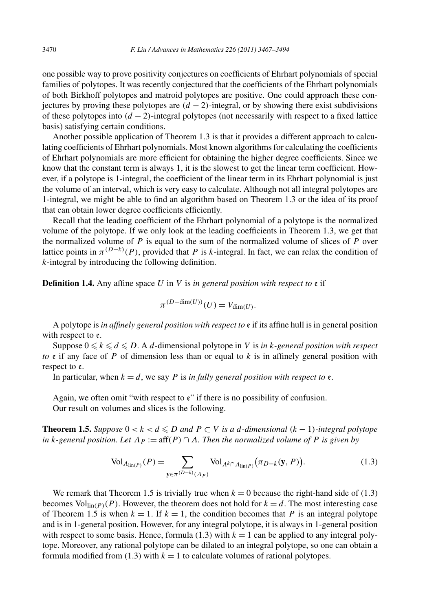one possible way to prove positivity conjectures on coefficients of Ehrhart polynomials of special families of polytopes. It was recently conjectured that the coefficients of the Ehrhart polynomials of both Birkhoff polytopes and matroid polytopes are positive. One could approach these conjectures by proving these polytopes are  $(d - 2)$ -integral, or by showing there exist subdivisions of these polytopes into  $(d - 2)$ -integral polytopes (not necessarily with respect to a fixed lattice basis) satisfying certain conditions.

Another possible application of Theorem 1.3 is that it provides a different approach to calculating coefficients of Ehrhart polynomials. Most known algorithms for calculating the coefficients of Ehrhart polynomials are more efficient for obtaining the higher degree coefficients. Since we know that the constant term is always 1, it is the slowest to get the linear term coefficient. However, if a polytope is 1-integral, the coefficient of the linear term in its Ehrhart polynomial is just the volume of an interval, which is very easy to calculate. Although not all integral polytopes are 1-integral, we might be able to find an algorithm based on Theorem 1.3 or the idea of its proof that can obtain lower degree coefficients efficiently.

Recall that the leading coefficient of the Ehrhart polynomial of a polytope is the normalized volume of the polytope. If we only look at the leading coefficients in Theorem 1.3, we get that the normalized volume of *P* is equal to the sum of the normalized volume of slices of *P* over lattice points in  $\pi^{(D-k)}(P)$ , provided that *P* is *k*-integral. In fact, we can relax the condition of *k*-integral by introducing the following definition.

**Definition 1.4.** Any affine space *U* in *V* is *in general position with respect to* e if

$$
\pi^{(D-\dim(U))}(U) = V_{\dim(U)}.
$$

A polytope is *in affinely general position with respect to* e if its affine hull is in general position with respect to  $e$ .

Suppose  $0 \leq k \leq d \leq D$ . A *d*-dimensional polytope in *V* is *in k-general position with respect to* e if any face of *P* of dimension less than or equal to *k* is in affinely general position with respect to e.

In particular, when  $k = d$ , we say *P* is *in fully general position with respect to*  $\varepsilon$ .

Again, we often omit "with respect to  $e$ " if there is no possibility of confusion. Our result on volumes and slices is the following.

**Theorem 1.5.** *Suppose*  $0 < k < d \le D$  *and*  $P \subset V$  *is a d*-dimensional  $(k - 1)$ -integral polytope *in k*-general position. Let  $\Lambda_P := \text{aff}(P) \cap \Lambda$ . Then the normalized volume of P is given by

$$
\text{Vol}_{\Lambda_{\text{lin}(P)}}(P) = \sum_{\mathbf{y} \in \pi^{(D-k)}(\Lambda_P)} \text{Vol}_{\Lambda^k \cap \Lambda_{\text{lin}(P)}}(\pi_{D-k}(\mathbf{y}, P)).
$$
\n(1.3)

We remark that Theorem 1.5 is trivially true when  $k = 0$  because the right-hand side of (1.3) becomes  $Vol_{lin(P)}(P)$ . However, the theorem does not hold for  $k = d$ . The most interesting case of Theorem 1.5 is when  $k = 1$ . If  $k = 1$ , the condition becomes that P is an integral polytope and is in 1-general position. However, for any integral polytope, it is always in 1-general position with respect to some basis. Hence, formula  $(1.3)$  with  $k = 1$  can be applied to any integral polytope. Moreover, any rational polytope can be dilated to an integral polytope, so one can obtain a formula modified from  $(1.3)$  with  $k = 1$  to calculate volumes of rational polytopes.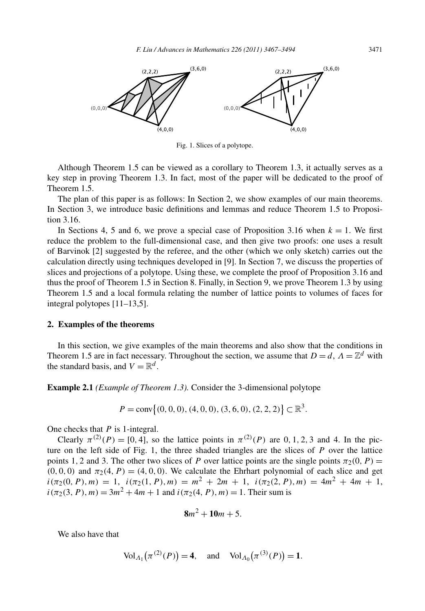

Fig. 1. Slices of a polytope.

Although Theorem 1.5 can be viewed as a corollary to Theorem 1.3, it actually serves as a key step in proving Theorem 1.3. In fact, most of the paper will be dedicated to the proof of Theorem 1.5.

The plan of this paper is as follows: In Section 2, we show examples of our main theorems. In Section 3, we introduce basic definitions and lemmas and reduce Theorem 1.5 to Proposition 3.16.

In Sections 4, 5 and 6, we prove a special case of Proposition 3.16 when  $k = 1$ . We first reduce the problem to the full-dimensional case, and then give two proofs: one uses a result of Barvinok [2] suggested by the referee, and the other (which we only sketch) carries out the calculation directly using techniques developed in [9]. In Section 7, we discuss the properties of slices and projections of a polytope. Using these, we complete the proof of Proposition 3.16 and thus the proof of Theorem 1.5 in Section 8. Finally, in Section 9, we prove Theorem 1.3 by using Theorem 1.5 and a local formula relating the number of lattice points to volumes of faces for integral polytopes [11–13,5].

#### **2. Examples of the theorems**

In this section, we give examples of the main theorems and also show that the conditions in Theorem 1.5 are in fact necessary. Throughout the section, we assume that  $D = d$ ,  $\Lambda = \mathbb{Z}^d$  with the standard basis, and  $V = \mathbb{R}^d$ .

**Example 2.1** *(Example of Theorem 1.3).* Consider the 3-dimensional polytope

$$
P = \text{conv}\{(0, 0, 0), (4, 0, 0), (3, 6, 0), (2, 2, 2)\} \subset \mathbb{R}^3.
$$

One checks that *P* is 1-integral.

Clearly  $\pi^{(2)}(P) = [0, 4]$ , so the lattice points in  $\pi^{(2)}(P)$  are 0, 1, 2, 3 and 4. In the picture on the left side of Fig. 1, the three shaded triangles are the slices of *P* over the lattice points 1, 2 and 3. The other two slices of *P* over lattice points are the single points  $\pi_2(0, P) =$  $(0, 0, 0)$  and  $\pi_2(4, P) = (4, 0, 0)$ . We calculate the Ehrhart polynomial of each slice and get  $i(\pi_2(0, P), m) = 1$ ,  $i(\pi_2(1, P), m) = m^2 + 2m + 1$ ,  $i(\pi_2(2, P), m) = 4m^2 + 4m + 1$ ,  $i(\pi_2(3, P), m) = 3m^2 + 4m + 1$  and  $i(\pi_2(4, P), m) = 1$ . Their sum is

$$
8m^2+10m+5.
$$

We also have that

$$
\text{Vol}_{A_1}(\pi^{(2)}(P)) = 4, \text{ and } \text{Vol}_{A_0}(\pi^{(3)}(P)) = 1.
$$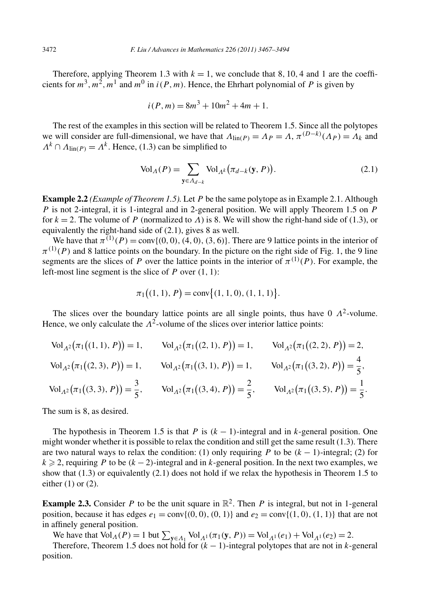Therefore, applying Theorem 1.3 with  $k = 1$ , we conclude that 8, 10, 4 and 1 are the coefficients for  $m^3, m^2, m^1$  and  $m^0$  in  $i(P, m)$ . Hence, the Ehrhart polynomial of P is given by

$$
i(P, m) = 8m^3 + 10m^2 + 4m + 1.
$$

The rest of the examples in this section will be related to Theorem 1.5. Since all the polytopes we will consider are full-dimensional, we have that  $\Lambda_{\text{lin}(P)} = \Lambda_P = \Lambda$ ,  $\pi^{(D-k)}(\Lambda_P) = \Lambda_k$  and  $\Lambda^k \cap \Lambda_{\text{lin}(P)} = \Lambda^k$ . Hence, (1.3) can be simplified to

$$
\text{Vol}_{\Lambda}(P) = \sum_{\mathbf{y} \in \Lambda_{d-k}} \text{Vol}_{\Lambda^k}(\pi_{d-k}(\mathbf{y}, P)).
$$
\n(2.1)

**Example 2.2** *(Example of Theorem 1.5).* Let *P* be the same polytope as in Example 2.1. Although *P* is not 2-integral, it is 1-integral and in 2-general position. We will apply Theorem 1.5 on *P* for  $k = 2$ . The volume of *P* (normalized to *Λ*) is 8. We will show the right-hand side of (1.3), or equivalently the right-hand side of (2.1), gives 8 as well.

We have that  $\pi^{(1)}(P) = \text{conv}\{(0,0), (4,0), (3,6)\}.$  There are 9 lattice points in the interior of  $\pi^{(1)}(P)$  and 8 lattice points on the boundary. In the picture on the right side of Fig. 1, the 9 line segments are the slices of *P* over the lattice points in the interior of  $\pi^{(1)}(P)$ . For example, the left-most line segment is the slice of *P* over *(*1*,* 1*)*:

$$
\pi_1((1, 1), P) = \text{conv}\{(1, 1, 0), (1, 1, 1)\}.
$$

The slices over the boundary lattice points are all single points, thus have  $0 \Lambda^2$ -volume. Hence, we only calculate the  $\Lambda^2$ -volume of the slices over interior lattice points:

 $\text{Vol}_{A^2}(\pi_1((1, 1), P)) = 1, \quad \text{Vol}_{A^2}(\pi_1((2, 1), P)) = 1, \quad \text{Vol}_{A^2}(\pi_1((2, 2), P)) = 2,$  $\text{Vol}_{A^2}(\pi_1((2, 3), P)) = 1, \quad \text{Vol}_{A^2}(\pi_1((3, 1), P)) = 1, \quad \text{Vol}_{A^2}(\pi_1((3, 2), P)) = \frac{4}{5},$  $\text{Vol}_{A^2}(\pi_1((3,3), P)) = \frac{3}{5}, \quad \text{Vol}_{A^2}(\pi_1((3,4), P)) = \frac{2}{5}, \quad \text{Vol}_{A^2}(\pi_1((3,5), P)) = \frac{1}{5}.$ 

The sum is 8, as desired.

The hypothesis in Theorem 1.5 is that *P* is  $(k-1)$ -integral and in *k*-general position. One might wonder whether it is possible to relax the condition and still get the same result (1.3). There are two natural ways to relax the condition: (1) only requiring *P* to be  $(k - 1)$ -integral; (2) for  $k \ge 2$ , requiring *P* to be  $(k-2)$ -integral and in *k*-general position. In the next two examples, we show that  $(1.3)$  or equivalently  $(2.1)$  does not hold if we relax the hypothesis in Theorem 1.5 to either  $(1)$  or  $(2)$ .

**Example 2.3.** Consider P to be the unit square in  $\mathbb{R}^2$ . Then P is integral, but not in 1-general position, because it has edges  $e_1 = \text{conv}\{(0,0), (0,1)\}$  and  $e_2 = \text{conv}\{(1,0), (1,1)\}$  that are not in affinely general position.

We have that  $Vol_{\Lambda}(P) = 1$  but  $\sum_{y \in \Lambda_1} Vol_{\Lambda^1}(\pi_1(y, P)) = Vol_{\Lambda^1}(e_1) + Vol_{\Lambda^1}(e_2) = 2$ .

Therefore, Theorem 1.5 does not hold for  $(k - 1)$ -integral polytopes that are not in *k*-general position.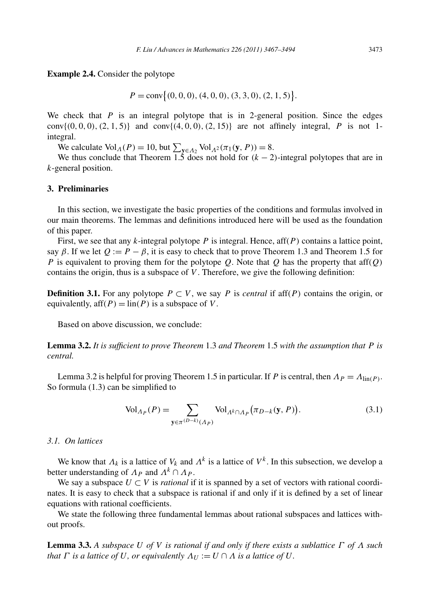**Example 2.4.** Consider the polytope

 $P = \text{conv} \{ (0, 0, 0), (4, 0, 0), (3, 3, 0), (2, 1, 5) \}.$ 

We check that *P* is an integral polytope that is in 2-general position. Since the edges conv $\{(0, 0, 0), (2, 1, 5)\}$  and conv $\{(4, 0, 0), (2, 15)\}$  are not affinely integral, *P* is not 1integral.

We calculate  $Vol_A(P) = 10$ , but  $\sum_{y \in A_2} Vol_{A^2}(\pi_1(y, P)) = 8$ .

We thus conclude that Theorem 1.5 does not hold for  $(k - 2)$ -integral polytopes that are in *k*-general position.

# **3. Preliminaries**

In this section, we investigate the basic properties of the conditions and formulas involved in our main theorems. The lemmas and definitions introduced here will be used as the foundation of this paper.

First, we see that any *k*-integral polytope *P* is integral. Hence, aff*(P )* contains a lattice point, say  $\beta$ . If we let  $Q := P - \beta$ , it is easy to check that to prove Theorem 1.3 and Theorem 1.5 for *P* is equivalent to proving them for the polytope *Q*. Note that *Q* has the property that aff*(Q)* contains the origin, thus is a subspace of *V* . Therefore, we give the following definition:

**Definition 3.1.** For any polytope  $P \subset V$ , we say P is *central* if aff $(P)$  contains the origin, or equivalently,  $aff(P) = lin(P)$  is a subspace of V.

Based on above discussion, we conclude:

**Lemma 3.2.** *It is sufficient to prove Theorem* 1.3 *and Theorem* 1.5 *with the assumption that P is central.*

Lemma 3.2 is helpful for proving Theorem 1.5 in particular. If *P* is central, then  $\Lambda_P = \Lambda_{lin(P)}$ . So formula (1.3) can be simplified to

$$
\text{Vol}_{\Lambda_P}(P) = \sum_{\mathbf{y} \in \pi^{(D-k)}(\Lambda_P)} \text{Vol}_{\Lambda^k \cap \Lambda_P}(\pi_{D-k}(\mathbf{y}, P)).
$$
\n(3.1)

# *3.1. On lattices*

We know that  $\Lambda_k$  is a lattice of  $V_k$  and  $\Lambda^k$  is a lattice of  $V^k$ . In this subsection, we develop a better understanding of  $\Lambda_P$  and  $\Lambda^k \cap \Lambda_P$ .

We say a subspace  $U \subset V$  is *rational* if it is spanned by a set of vectors with rational coordinates. It is easy to check that a subspace is rational if and only if it is defined by a set of linear equations with rational coefficients.

We state the following three fundamental lemmas about rational subspaces and lattices without proofs.

**Lemma 3.3.** *A subspace U of V is rational if and only if there exists a sublattice Γ of Λ such that*  $\Gamma$  *is a lattice of*  $U$ *, or equivalently*  $\Lambda_U := U \cap \Lambda$  *is a lattice of*  $U$ *.*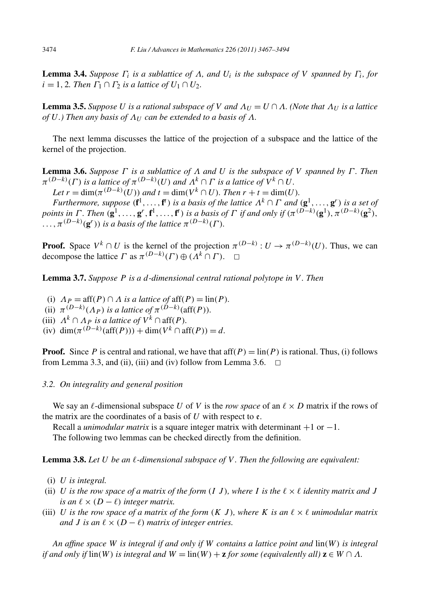**Lemma 3.4.** *Suppose*  $\Gamma_i$  *is a sublattice of*  $\Lambda$ *, and*  $U_i$  *is the subspace of*  $V$  *spanned by*  $\Gamma_i$ *, for*  $i = 1, 2$ *. Then*  $\Gamma_1 \cap \Gamma_2$  *is a lattice of*  $U_1 \cap U_2$ *.* 

**Lemma 3.5.** *Suppose U is a rational subspace of V and*  $\Lambda_U = U \cap \Lambda$ *. (Note that*  $\Lambda_U$  *is a lattice of*  $U$ *.) Then any basis of*  $\Lambda_U$  *can be extended to a basis of*  $\Lambda$ *.* 

The next lemma discusses the lattice of the projection of a subspace and the lattice of the kernel of the projection.

**Lemma 3.6.** *Suppose Γ is a sublattice of Λ and U is the subspace of V spanned by Γ . Then*  $\pi^{(D-k)}(\Gamma)$  *is a lattice of*  $\pi^{(D-k)}(U)$  *and*  $\Lambda^k \cap \Gamma$  *is a lattice of*  $V^k \cap U$ *.* 

*Let*  $r = \dim(\pi^{(D-k)}(U))$  *and*  $t = \dim(V^k \cap U)$ *. Then*  $r + t = \dim(U)$ *. Furthermore, suppose*  $(f^1, \ldots, f^t)$  *is a basis of the lattice*  $\Lambda^k \cap \Gamma$  *and*  $(g^1, \ldots, g^r)$  *is a set of* points in  $\Gamma$ . Then  $(\mathbf{g}^1,\ldots,\mathbf{g}^r,\mathbf{f}^1,\ldots,\mathbf{f}^t)$  is a basis of  $\Gamma$  if and only if  $(\pi^{(D-k)}(\mathbf{g}^1),\pi^{(D-k)}(\mathbf{g}^2),$  $\overline{H}$ ,  $\pi^{(D-k)}(\mathbf{g}^r)$ ) *is a basis of the lattice*  $\pi^{(D-k)}(\Gamma)$ *.* 

**Proof.** Space  $V^k \cap U$  is the kernel of the projection  $\pi^{(D-k)} : U \to \pi^{(D-k)}(U)$ . Thus, we can decompose the lattice  $\Gamma$  as  $\pi^{(D-k)}(\Gamma) \oplus (\Lambda^k \cap \Gamma)$ .  $\Box$ 

**Lemma 3.7.** *Suppose P is a d-dimensional central rational polytope in V . Then*

(i)  $\Lambda_P = \text{aff}(P) \cap \Lambda$  *is a lattice of*  $\text{aff}(P) = \text{lin}(P)$ *.* (ii)  $\pi^{(D-k)}(\Lambda_P)$  *is a lattice of*  $\pi^{(D-k)}(\text{aff}(P))$ *.* (iii)  $\Lambda^k \cap \Lambda_P$  *is a lattice of*  $V^k \cap \text{aff}(P)$ *.* (iv) dim $(\pi^{(D-k)}(\text{aff}(P))) + \dim(V^k \cap \text{aff}(P)) = d$ .

**Proof.** Since P is central and rational, we have that  $aff(P) = lin(P)$  is rational. Thus, (i) follows from Lemma 3.3, and (ii), (iii) and (iv) follow from Lemma 3.6.  $\Box$ 

### *3.2. On integrality and general position*

We say an  $\ell$ -dimensional subspace *U* of *V* is the *row space* of an  $\ell \times D$  matrix if the rows of the matrix are the coordinates of a basis of  $U$  with respect to  $\epsilon$ .

Recall a *unimodular matrix* is a square integer matrix with determinant +1 or −1. The following two lemmas can be checked directly from the definition.

**Lemma 3.8.** *Let U be an -dimensional subspace of V . Then the following are equivalent:*

- (i) *U is integral.*
- (ii) *U* is the row space of a matrix of the form  $(I, J)$ , where *I* is the  $\ell \times \ell$  identity matrix and *J is an*  $\ell \times (D - \ell)$  *integer matrix.*
- (iii) *U* is the row space of a matrix of the form  $(K \, J)$ , where K is an  $\ell \times \ell$  unimodular matrix *and J* is an  $\ell \times (D - \ell)$  *matrix of integer entries.*

*An affine space W is integral if and only if W contains a lattice point and* lin*(W ) is integral if and only if*  $\text{lin}(W)$  *is integral and*  $W = \text{lin}(W) + \mathbf{z}$  *for some (equivalently all)*  $\mathbf{z} \in W \cap \Lambda$ *.*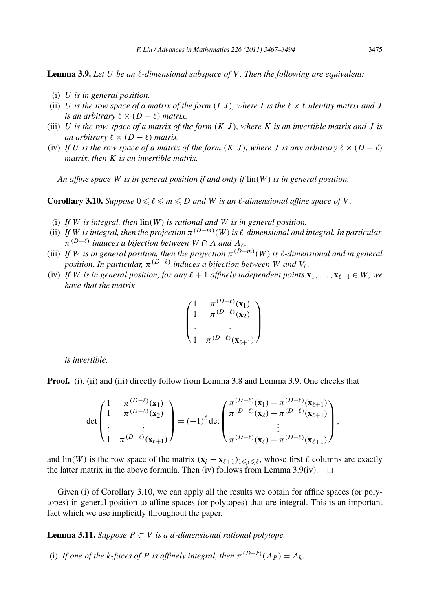**Lemma 3.9.** *Let U be an -dimensional subspace of V . Then the following are equivalent:*

- (i) *U is in general position.*
- (ii) *U* is the row space of a matrix of the form  $(I, J)$ , where I is the  $\ell \times \ell$  identity matrix and J *is an arbitrary*  $\ell \times (D - \ell)$  *matrix.*
- (iii)  $U$  *is the row space of a matrix of the form*  $(K, J)$ *, where*  $K$  *is an invertible matrix and*  $J$  *is an arbitrary*  $\ell \times (D - \ell)$  *matrix.*
- (iv) If *U* is the row space of a matrix of the form  $(K J)$ , where *J* is any arbitrary  $\ell \times (D \ell)$ *matrix, then K is an invertible matrix.*

*An affine space W is in general position if and only if* lin*(W ) is in general position.*

**Corollary 3.10.** *Suppose*  $0 \le \ell \le m \le D$  *and W is an*  $\ell$ -dimensional affine space of V.

- (i) *If W is integral, then* lin*(W ) is rational and W is in general position.*
- (ii) If *W* is integral, then the projection  $\pi^{(D-m)}(W)$  is  $\ell$ -dimensional and integral. In particular,  $\pi^{(D-\ell)}$  *induces a bijection between*  $W \cap \Lambda$  *and*  $\Lambda_{\ell}$ *.*
- (iii) If *W* is in general position, then the projection  $\pi^{(D-m)}(W)$  is  $\ell$ -dimensional and in general *position. In particular,*  $\pi^{(D-\ell)}$  *induces a bijection between W and*  $V_{\ell}$ *.*
- (iv) *If W is in general position, for any*  $\ell + 1$  *affinely independent points*  $\mathbf{x}_1, \ldots, \mathbf{x}_{\ell+1} \in W$ *, we have that the matrix*

$$
\begin{pmatrix} 1 & \pi^{(D-\ell)}(\mathbf{x}_1) \\ 1 & \pi^{(D-\ell)}(\mathbf{x}_2) \\ \vdots & \vdots \\ 1 & \pi^{(D-\ell)}(\mathbf{x}_{\ell+1}) \end{pmatrix}
$$

*is invertible.*

**Proof.** (i), (ii) and (iii) directly follow from Lemma 3.8 and Lemma 3.9. One checks that

$$
\det\begin{pmatrix}1 & \pi^{(D-\ell)}(\mathbf{x}_1) \\ 1 & \pi^{(D-\ell)}(\mathbf{x}_2) \\ \vdots & \vdots \\ 1 & \pi^{(D-\ell)}(\mathbf{x}_{\ell+1})\end{pmatrix} = (-1)^{\ell} \det\begin{pmatrix}\pi^{(D-\ell)}(\mathbf{x}_1) - \pi^{(D-\ell)}(\mathbf{x}_{\ell+1}) \\ \pi^{(D-\ell)}(\mathbf{x}_2) - \pi^{(D-\ell)}(\mathbf{x}_{\ell+1}) \\ \vdots \\ \pi^{(D-\ell)}(\mathbf{x}_{\ell}) - \pi^{(D-\ell)}(\mathbf{x}_{\ell+1})\end{pmatrix},
$$

and  $\text{lin}(W)$  is the row space of the matrix  $(\mathbf{x}_i - \mathbf{x}_{\ell+1})_{1 \leq i \leq \ell}$ , whose first  $\ell$  columns are exactly the latter matrix in the above formula. Then (iv) follows from Lemma 3.9(iv).  $\Box$ 

Given (i) of Corollary 3.10, we can apply all the results we obtain for affine spaces (or polytopes) in general position to affine spaces (or polytopes) that are integral. This is an important fact which we use implicitly throughout the paper.

**Lemma 3.11.** *Suppose*  $P ⊂ V$  *is a d*-dimensional rational polytope.

(i) *If one of the k-faces of P is affinely integral, then*  $\pi^{(D-k)}(\Lambda_P) = \Lambda_k$ .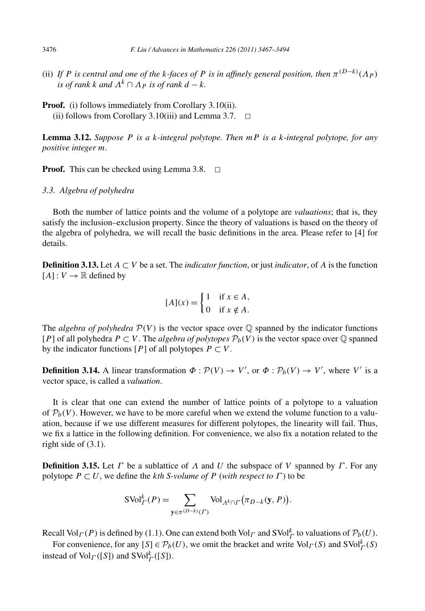- (ii) If P is central and one of the k-faces of P is in affinely general position, then  $\pi^{(D-k)}(\Lambda_P)$ *is of rank k and*  $\Lambda^k \cap \Lambda_P$  *is of rank*  $d - k$ *.*
- **Proof.** (i) follows immediately from Corollary 3.10(ii). (ii) follows from Corollary 3.10(iii) and Lemma 3.7.  $\Box$

**Lemma 3.12.** *Suppose P is a k-integral polytope. Then mP is a k-integral polytope, for any positive integer m.*

**Proof.** This can be checked using Lemma 3.8.  $\Box$ 

*3.3. Algebra of polyhedra*

Both the number of lattice points and the volume of a polytope are *valuations*; that is, they satisfy the inclusion–exclusion property. Since the theory of valuations is based on the theory of the algebra of polyhedra, we will recall the basic definitions in the area. Please refer to [4] for details.

**Definition 3.13.** Let  $A \subset V$  be a set. The *indicator function*, or just *indicator*, of  $A$  is the function  $[A]: V \rightarrow \mathbb{R}$  defined by

$$
[A](x) = \begin{cases} 1 & \text{if } x \in A, \\ 0 & \text{if } x \notin A. \end{cases}
$$

The *algebra of polyhedra*  $P(V)$  is the vector space over  $\mathbb Q$  spanned by the indicator functions [*P*] of all polyhedra  $P \subset V$ . The *algebra of polytopes*  $P_b(V)$  is the vector space over  $\mathbb Q$  spanned by the indicator functions  $[P]$  of all polytopes  $P \subset V$ .

**Definition 3.14.** A linear transformation  $\Phi : \mathcal{P}(V) \to V'$ , or  $\Phi : \mathcal{P}_b(V) \to V'$ , where *V'* is a vector space, is called a *valuation*.

It is clear that one can extend the number of lattice points of a polytope to a valuation of  $\mathcal{P}_b(V)$ . However, we have to be more careful when we extend the volume function to a valuation, because if we use different measures for different polytopes, the linearity will fail. Thus, we fix a lattice in the following definition. For convenience, we also fix a notation related to the right side of (3.1).

**Definition 3.15.** Let *Γ* be a sublattice of *Λ* and *U* the subspace of *V* spanned by *Γ* . For any polytope  $P \subset U$ , we define the *k*th *S*-volume of *P* (with respect to  $\Gamma$ ) to be

$$
SVol^k_{\Gamma}(P) = \sum_{\mathbf{y} \in \pi^{(D-k)}(\Gamma)} Vol_{A^k \cap \Gamma} (\pi_{D-k}(\mathbf{y}, P)).
$$

Recall  $Vol_{\Gamma}(P)$  is defined by (1.1). One can extend both  $Vol_{\Gamma}$  and  $SVol_{\Gamma}^{k}$  to valuations of  $\mathcal{P}_{b}(U)$ .

For convenience, for any  $[S] \in \mathcal{P}_b(U)$ , we omit the bracket and write  $Vol_\Gamma(S)$  and  $SVol_\Gamma^k(S)$ instead of  $\text{Vol}_{\Gamma}([S])$  and  $\text{SVol}_{\Gamma}^k([S])$ .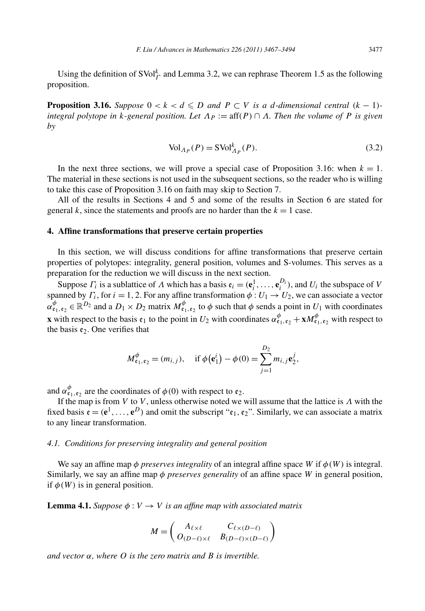Using the definition of  $SVol<sub>\Gamma</sub><sup>k</sup>$  and Lemma 3.2, we can rephrase Theorem 1.5 as the following proposition.

**Proposition 3.16.** *Suppose*  $0 < k < d \le D$  *and*  $P \subset V$  *is a d*-dimensional central  $(k - 1)$ *integral polytope in k-general position. Let*  $\Lambda_P := \text{aff}(P) \cap \Lambda$ *. Then the volume of* P is given *by*

$$
\text{Vol}_{\Lambda_P}(P) = \text{SVol}_{\Lambda_P}^k(P). \tag{3.2}
$$

In the next three sections, we will prove a special case of Proposition 3.16: when  $k = 1$ . The material in these sections is not used in the subsequent sections, so the reader who is willing to take this case of Proposition 3.16 on faith may skip to Section 7.

All of the results in Sections 4 and 5 and some of the results in Section 6 are stated for general  $k$ , since the statements and proofs are no harder than the  $k = 1$  case.

## **4. Affine transformations that preserve certain properties**

In this section, we will discuss conditions for affine transformations that preserve certain properties of polytopes: integrality, general position, volumes and S-volumes. This serves as a preparation for the reduction we will discuss in the next section.

Suppose  $\Gamma_i$  is a sublattice of  $\Lambda$  which has a basis  $\mathfrak{e}_i = (\mathfrak{e}_i^1, \dots, \mathfrak{e}_i^{D_i})$ , and  $U_i$  the subspace of  $V$ spanned by  $\Gamma_i$ , for  $i = 1, 2$ . For any affine transformation  $\phi: U_1 \rightarrow U_2$ , we can associate a vector  $\alpha^{\phi}_{\mathfrak{e}_1, \mathfrak{e}_2} \in \mathbb{R}^{D_2}$  and a  $D_1 \times D_2$  matrix  $M_{\mathfrak{e}_1, \mathfrak{e}_2}^{\phi}$  to  $\phi$  such that  $\phi$  sends a point in  $U_1$  with coordinates **x** with respect to the basis  $\mathfrak{e}_1$  to the point in  $U_2$  with coordinates  $\alpha_{\mathfrak{e}_1,\mathfrak{e}_2}^{\phi} + xM_{\mathfrak{e}_1,\mathfrak{e}_2}^{\phi}$  with respect to the basis  $\mathfrak{e}_2$ . One verifies that

$$
M_{\mathbf{e}_1, \mathbf{e}_2}^{\phi} = (m_{i,j}), \text{ if } \phi(\mathbf{e}_1^i) - \phi(0) = \sum_{j=1}^{D_2} m_{i,j} \mathbf{e}_2^j,
$$

and  $\alpha_{\epsilon_1,\epsilon_2}^{\phi}$  are the coordinates of  $\phi(0)$  with respect to  $\epsilon_2$ .

If the map is from *V* to *V* , unless otherwise noted we will assume that the lattice is *Λ* with the fixed basis  $\mathbf{e} = (\mathbf{e}^1, \dots, \mathbf{e}^D)$  and omit the subscript " $\mathbf{e}_1, \mathbf{e}_2$ ". Similarly, we can associate a matrix to any linear transformation.

#### *4.1. Conditions for preserving integrality and general position*

We say an affine map  $\phi$  *preserves integrality* of an integral affine space *W* if  $\phi(W)$  is integral. Similarly, we say an affine map *φ preserves generality* of an affine space *W* in general position, if  $\phi(W)$  is in general position.

**Lemma 4.1.** *Suppose*  $\phi: V \to V$  *is an affine map with associated matrix* 

$$
M = \begin{pmatrix} A_{\ell \times \ell} & C_{\ell \times (D-\ell)} \\ O_{(D-\ell) \times \ell} & B_{(D-\ell) \times (D-\ell)} \end{pmatrix}
$$

*and vector α, where O is the zero matrix and B is invertible.*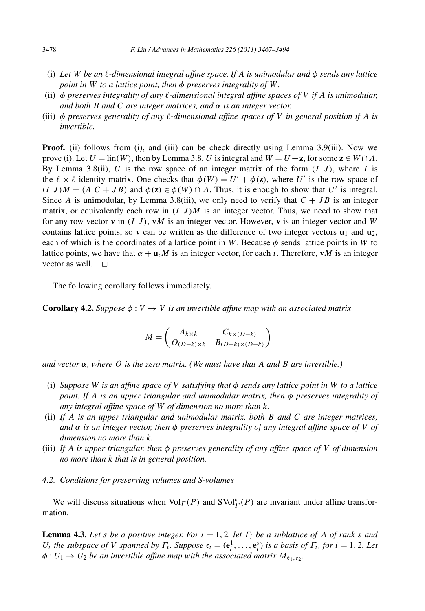- (i) *Let W be an -dimensional integral affine space. If A is unimodular and φ sends any lattice point in W to a lattice point, then φ preserves integrality of W.*
- (ii) *φ preserves integrality of any -dimensional integral affine spaces of V if A is unimodular, and both B and C are integer matrices, and α is an integer vector.*
- (iii) *φ preserves generality of any -dimensional affine spaces of V in general position if A is invertible.*

**Proof.** (ii) follows from (i), and (iii) can be check directly using Lemma 3.9(iii). Now we prove (i). Let  $U = \text{lin}(W)$ , then by Lemma 3.8, *U* is integral and  $W = U + \mathbf{z}$ , for some  $\mathbf{z} \in W \cap \Lambda$ . By Lemma 3.8(ii),  $U$  is the row space of an integer matrix of the form  $(I, J)$ , where  $I$  is the  $\ell \times \ell$  identity matrix. One checks that  $\phi(W) = U' + \phi(\mathbf{z})$ , where U' is the row space of  $(I \, J)M = (A \, C + JB)$  and  $\phi(\mathbf{z}) \in \phi(W) \cap A$ . Thus, it is enough to show that *U'* is integral. Since *A* is unimodular, by Lemma 3.8(iii), we only need to verify that  $C + JB$  is an integer matrix, or equivalently each row in  $(I\, J)M$  is an integer vector. Thus, we need to show that for any row vector **v** in *(I J )*, **v***M* is an integer vector. However, **v** is an integer vector and *W* contains lattice points, so **v** can be written as the difference of two integer vectors  $\mathbf{u}_1$  and  $\mathbf{u}_2$ , each of which is the coordinates of a lattice point in *W*. Because  $\phi$  sends lattice points in *W* to lattice points, we have that  $\alpha + \mathbf{u}_i M$  is an integer vector, for each *i*. Therefore, **v***M* is an integer vector as well.  $\Box$ 

The following corollary follows immediately.

**Corollary 4.2.** *Suppose*  $\phi: V \to V$  *is an invertible affine map with an associated matrix* 

$$
M = \begin{pmatrix} A_{k \times k} & C_{k \times (D-k)} \\ O_{(D-k) \times k} & B_{(D-k) \times (D-k)} \end{pmatrix}
$$

*and vector α, where O is the zero matrix. (We must have that A and B are invertible.)*

- (i) *Suppose W is an affine space of V satisfying that φ sends any lattice point in W to a lattice point. If A is an upper triangular and unimodular matrix, then φ preserves integrality of any integral affine space of W of dimension no more than k.*
- (ii) *If A is an upper triangular and unimodular matrix, both B and C are integer matrices, and α is an integer vector, then φ preserves integrality of any integral affine space of V of dimension no more than k.*
- (iii) *If A is upper triangular, then φ preserves generality of any affine space of V of dimension no more than k that is in general position.*
- *4.2. Conditions for preserving volumes and S-volumes*

We will discuss situations when  $\text{Vol}_\Gamma(P)$  and  $\text{SVol}_\Gamma^k(P)$  are invariant under affine transformation.

**Lemma 4.3.** Let *s* be a positive integer. For  $i = 1, 2$ , let  $\Gamma_i$  be a sublattice of  $\Lambda$  of rank *s* and  $U_i$  the subspace of V spanned by  $\Gamma_i$ . Suppose  $\mathfrak{e}_i = (\mathfrak{e}_i^1, \ldots, \mathfrak{e}_i^s)$  is a basis of  $\Gamma_i$ , for  $i = 1, 2$ . Let  $\phi: U_1 \to U_2$  *be an invertible affine map with the associated matrix*  $M_{\mathfrak{e}_1, \mathfrak{e}_2}$ .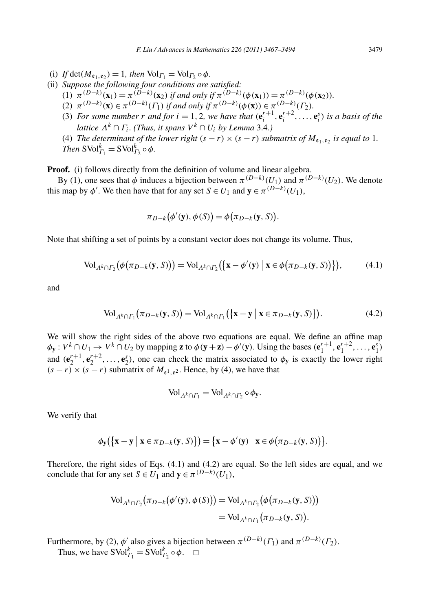- (i) *If*  $\det(M_{\epsilon_1,\epsilon_2}) = 1$ *, then*  $\text{Vol}_{\Gamma_1} = \text{Vol}_{\Gamma_2} \circ \phi$ *.*
- (ii) *Suppose the following four conditions are satisfied:*
	- $(1)$   $\pi^{(D-k)}(\mathbf{x}_1) = \pi^{(D-k)}(\mathbf{x}_2)$  if and only if  $\pi^{(D-k)}(\phi(\mathbf{x}_1)) = \pi^{(D-k)}(\phi(\mathbf{x}_2)).$
	- $(2)$   $\pi^{(D-k)}(\mathbf{x}) \in \pi^{(D-k)}(\Gamma_1)$  *if and only if*  $\pi^{(D-k)}(\phi(\mathbf{x})) \in \pi^{(D-k)}(\Gamma_2)$ *.*
	- (3) For some number r and for  $i = 1, 2$ , we have that  $(e_i^{r+1}, e_i^{r+2}, \ldots, e_i^s)$  is a basis of the *lattice*  $\Lambda^k \cap \Gamma_i$ *. (Thus, it spans*  $V^k \cap U_i$  *by Lemma* 3.4*.)*
	- (4) *The determinant of the lower right*  $(s r) \times (s r)$  *submatrix of*  $M_{\epsilon_1, \epsilon_2}$  *is equal to* 1*. Then*  $SVol_{\Gamma_1}^k = SVol_{\Gamma_2}^k \circ \phi$ .

**Proof.** (i) follows directly from the definition of volume and linear algebra.

By (1), one sees that *φ* induces a bijection between  $\pi^{(D-k)}(U_1)$  and  $\pi^{(D-k)}(U_2)$ . We denote this map by  $\phi'$ . We then have that for any set  $S \in U_1$  and  $\mathbf{y} \in \pi^{(D-k)}(U_1)$ ,

$$
\pi_{D-k}(\phi'(\mathbf{y}), \phi(S)) = \phi(\pi_{D-k}(\mathbf{y}, S)).
$$

Note that shifting a set of points by a constant vector does not change its volume. Thus,

$$
\text{Vol}_{\Lambda^k \cap \Gamma_2} \big( \phi \big( \pi_{D-k}(\mathbf{y}, S) \big) \big) = \text{Vol}_{\Lambda^k \cap \Gamma_2} \big( \big\{ \mathbf{x} - \phi'(\mathbf{y}) \big\} \mathbf{x} \in \phi \big( \pi_{D-k}(\mathbf{y}, S) \big) \big\} \big), \tag{4.1}
$$

and

$$
\text{Vol}_{\Lambda^k \cap \Gamma_1} \big( \pi_{D-k}(\mathbf{y}, S) \big) = \text{Vol}_{\Lambda^k \cap \Gamma_1} \big( \{ \mathbf{x} - \mathbf{y} \mid \mathbf{x} \in \pi_{D-k}(\mathbf{y}, S) \} \big). \tag{4.2}
$$

We will show the right sides of the above two equations are equal. We define an affine map  $\phi_{\mathbf{y}}: V^k \cap U_1 \to V^k \cap U_2$  by mapping **z** to  $\phi(\mathbf{y} + \mathbf{z}) - \phi'(\mathbf{y})$ . Using the bases  $(\mathbf{e}_1^{r+1}, \mathbf{e}_1^{r+2}, \dots, \mathbf{e}_1^{s})$ and  $(\mathbf{e}_2^{r+1}, \mathbf{e}_2^{r+2}, \dots, \mathbf{e}_2^s)$ , one can check the matrix associated to  $\phi_y$  is exactly the lower right  $(s - r) \times (s - r)$  submatrix of  $M_{e^1, e^2}$ . Hence, by (4), we have that

$$
\text{Vol}_{\Lambda^k \cap \Gamma_1} = \text{Vol}_{\Lambda^k \cap \Gamma_2} \circ \phi_{\mathbf{y}}.
$$

We verify that

$$
\phi_{\mathbf{y}}(\{\mathbf{x}-\mathbf{y} \mid \mathbf{x} \in \pi_{D-k}(\mathbf{y}, S)\}) = \{\mathbf{x}-\phi'(\mathbf{y}) \mid \mathbf{x} \in \phi(\pi_{D-k}(\mathbf{y}, S))\}.
$$

Therefore, the right sides of Eqs. (4.1) and (4.2) are equal. So the left sides are equal, and we conclude that for any set *S*  $\in U_1$  and  $\mathbf{y} \in \pi^{(D-k)}(U_1)$ ,

$$
\mathrm{Vol}_{\Lambda^k \cap \Gamma_2} \big( \pi_{D-k} \big( \phi'(\mathbf{y}), \phi(S) \big) \big) = \mathrm{Vol}_{\Lambda^k \cap \Gamma_2} \big( \phi \big( \pi_{D-k}(\mathbf{y}, S) \big) \big)
$$
  
=  $\mathrm{Vol}_{\Lambda^k \cap \Gamma_1} \big( \pi_{D-k}(\mathbf{y}, S) \big).$ 

Furthermore, by (2),  $\phi'$  also gives a bijection between  $\pi^{(D-k)}(\Gamma_1)$  and  $\pi^{(D-k)}(\Gamma_2)$ .

Thus, we have  $SVol_{\Gamma_1}^k = SVol_{\Gamma_2}^k \circ \phi$ .  $\Box$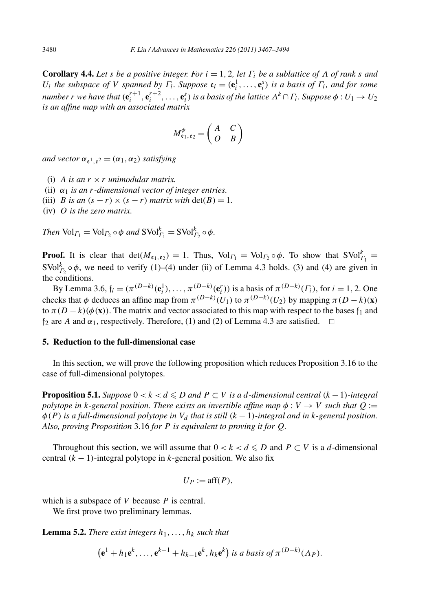**Corollary 4.4.** Let *s* be a positive integer. For  $i = 1, 2$ , let  $\Gamma_i$  be a sublattice of  $\Lambda$  of rank *s* and *U<sub>i</sub> the subspace of V spanned by*  $\Gamma_i$ *. Suppose*  $e_i = (e_i^1, \ldots, e_i^s)$  *is a basis of*  $\Gamma_i$ *, and for some* number  $r$  we have that  $(\mathbf{e}_i^{r+1},\mathbf{e}_i^{r+2},\ldots,\mathbf{e}_i^s)$  is a basis of the lattice  $\Lambda^k\cap\varGamma_i.$  Suppose  $\phi:U_1\to U_2$ *is an affine map with an associated matrix*

$$
M^{\phi}_{\mathfrak{e}_1,\mathfrak{e}_2} = \begin{pmatrix} A & C \\ O & B \end{pmatrix}
$$

*and vector*  $\alpha_{e^1}$ <sub> $e^2$ </sub> =  $(\alpha_1, \alpha_2)$  *satisfying* 

- (i) *A* is an  $r \times r$  *unimodular matrix.*
- (ii) *α*<sup>1</sup> *is an r-dimensional vector of integer entries.*
- (iii) *B* is an  $(s r) \times (s r)$  *matrix with*  $det(B) = 1$ .
- (iv) *O is the zero matrix.*

*Then*  $\text{Vol}_{\Gamma_1} = \text{Vol}_{\Gamma_2} \circ \phi$  *and*  $\text{SVol}_{\Gamma_1}^k = \text{SVol}_{\Gamma_2}^k \circ \phi$ *.* 

**Proof.** It is clear that  $det(M_{\mathfrak{e}_1, \mathfrak{e}_2}) = 1$ . Thus,  $Vol_{\Gamma_1} = Vol_{\Gamma_2} \circ \phi$ . To show that  $SVol_{\Gamma_1}^k =$  $SVol_{r_2}^k \circ \phi$ , we need to verify (1)–(4) under (ii) of Lemma 4.3 holds. (3) and (4) are given in the conditions.

By Lemma 3.6,  $f_i = (\pi^{(D-k)}(e_i^1), \dots, \pi^{(D-k)}(e_i^r))$  is a basis of  $\pi^{(D-k)}(\Gamma_i)$ , for  $i = 1, 2$ . One checks that  $\phi$  deduces an affine map from  $\pi^{(D-k)}(U_1)$  to  $\pi^{(D-k)}(U_2)$  by mapping  $\pi(D-k)(\mathbf{x})$ to  $\pi (D - k)(\phi(\mathbf{x}))$ . The matrix and vector associated to this map with respect to the bases  $f_1$  and  $f_2$  are *A* and  $\alpha_1$ , respectively. Therefore, (1) and (2) of Lemma 4.3 are satisfied.  $\Box$ 

# **5. Reduction to the full-dimensional case**

In this section, we will prove the following proposition which reduces Proposition 3.16 to the case of full-dimensional polytopes.

**Proposition 5.1.** *Suppose*  $0 < k < d \le D$  *and*  $P \subset V$  *is a d-dimensional central*  $(k - 1)$ *-integral polytope in k*-general position. There exists an invertible affine map  $\phi: V \to V$  such that  $Q :=$  $\phi(P)$  *is a full-dimensional polytope in*  $V_d$  *that is still*  $(k-1)$ *-integral and in k-general position. Also, proving Proposition* 3.16 *for P is equivalent to proving it for Q.*

Throughout this section, we will assume that  $0 < k < d \le D$  and  $P \subset V$  is a *d*-dimensional central *(k* − 1*)*-integral polytope in *k*-general position. We also fix

$$
U_P := \text{aff}(P),
$$

which is a subspace of *V* because *P* is central.

We first prove two preliminary lemmas.

**Lemma 5.2.** *There exist integers*  $h_1, \ldots, h_k$  *such that* 

 $(e^1 + h_1 e^k, \ldots, e^{k-1} + h_{k-1} e^k, h_k e^k)$  is a basis of  $\pi^{(D-k)}(\Lambda_P)$ .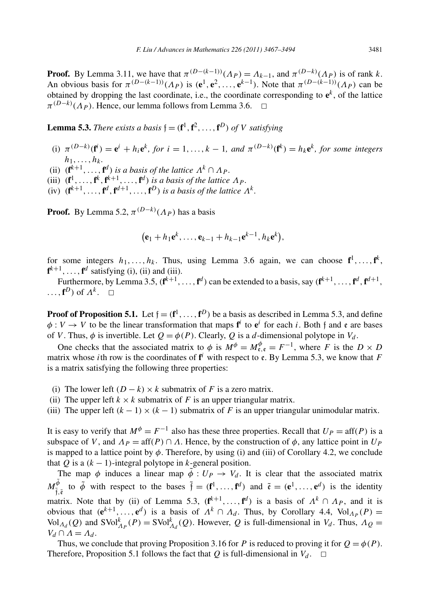**Proof.** By Lemma 3.11, we have that  $\pi^{(D-(k-1))}(\Lambda_P) = \Lambda_{k-1}$ , and  $\pi^{(D-k)}(\Lambda_P)$  is of rank *k*. An obvious basis for  $\pi^{(D-(k-1))}(\Lambda_P)$  is  $(e^1, e^2, \ldots, e^{k-1})$ . Note that  $\pi^{(D-(k-1))}(\Lambda_P)$  can be obtained by dropping the last coordinate, i.e., the coordinate corresponding to  $e^k$ , of the lattice  $\pi^{(D-k)}(\Lambda_P)$ . Hence, our lemma follows from Lemma 3.6.  $\Box$ 

**Lemma 5.3.** *There exists a basis*  $\mathfrak{f} = (\mathbf{f}^1, \mathbf{f}^2, \dots, \mathbf{f}^D)$  *of V satisfying* 

- (i)  $\pi^{(D-k)}(\mathbf{f}^i) = \mathbf{e}^i + h_i \mathbf{e}^k$ , for  $i = 1, ..., k-1$ , and  $\pi^{(D-k)}(\mathbf{f}^k) = h_k \mathbf{e}^k$ , for some integers  $h_1, \ldots, h_k$ .
- (ii)  $(\mathbf{f}^{k+1}, ..., \mathbf{f}^d)$  *is a basis of the lattice*  $\Lambda^k \cap \Lambda_P$ *.*
- (iii)  $(\mathbf{f}^1, \ldots, \mathbf{f}^k, \mathbf{f}^{k+1}, \ldots, \mathbf{f}^d)$  *is a basis of the lattice*  $\Lambda_P$ .
- (iv)  $(\mathbf{f}^{k+1}, \ldots, \mathbf{f}^d, \mathbf{f}^{d+1}, \ldots, \mathbf{f}^D)$  *is a basis of the lattice*  $\Lambda^k$ .

**Proof.** By Lemma 5.2,  $\pi^{(D-k)}(\Lambda_P)$  has a basis

$$
(\mathbf{e}_1+h_1\mathbf{e}^k,\ldots,\mathbf{e}_{k-1}+h_{k-1}\mathbf{e}^{k-1},h_k\mathbf{e}^k),
$$

for some integers  $h_1, \ldots, h_k$ . Thus, using Lemma 3.6 again, we can choose  $f^1, \ldots, f^k$ ,  $f^{k+1}, \ldots, f^d$  satisfying (i), (ii) and (iii).

Furthermore, by Lemma 3.5,  $(f^{k+1}, \ldots, f^d)$  can be extended to a basis, say  $(f^{k+1}, \ldots, f^d, f^{d+1},$  $\dots$ , **f**<sup>*D*</sup>) of  $\Lambda^k$ .  $\square$ 

**Proof of Proposition 5.1.** Let  $f = (f^1, \ldots, f^D)$  be a basis as described in Lemma 5.3, and define  $\phi: V \to V$  to be the linear transformation that maps  $f^i$  to  $e^i$  for each *i*. Both f and *e* are bases of *V*. Thus,  $\phi$  is invertible. Let  $Q = \phi(P)$ . Clearly, Q is a *d*-dimensional polytope in  $V_d$ .

One checks that the associated matrix to  $\phi$  is  $M^{\phi} = M^{\phi}_{\varepsilon,\varepsilon} = F^{-1}$ , where *F* is the  $D \times D$ matrix whose *i*th row is the coordinates of  $f^i$  with respect to  $e$ . By Lemma 5.3, we know that *F* is a matrix satisfying the following three properties:

- (i) The lower left  $(D k) \times k$  submatrix of *F* is a zero matrix.
- (ii) The upper left  $k \times k$  submatrix of F is an upper triangular matrix.

(iii) The upper left  $(k - 1) \times (k - 1)$  submatrix of *F* is an upper triangular unimodular matrix.

It is easy to verify that  $M^{\phi} = F^{-1}$  also has these three properties. Recall that  $U_P = \text{aff}(P)$  is a subspace of *V*, and  $\Lambda_p = \text{aff}(P) \cap \Lambda$ . Hence, by the construction of  $\phi$ , any lattice point in  $U_p$ is mapped to a lattice point by  $\phi$ . Therefore, by using (i) and (iii) of Corollary 4.2, we conclude that *Q* is a  $(k - 1)$ -integral polytope in *k*-general position.

The map  $\phi$  induces a linear map  $\tilde{\phi}: U_P \to V_d$ . It is clear that the associated matrix  $M_{\tilde{f}, \tilde{\epsilon}}^{\tilde{\phi}}$  to  $\tilde{\phi}$  with respect to the bases  $\tilde{f} = (f^1, \ldots, f^d)$  and  $\tilde{\epsilon} = (\mathbf{e}^1, \ldots, \mathbf{e}^d)$  is the identity matrix. Note that by (ii) of Lemma 5.3,  $(\mathbf{f}^{k+1},...,\mathbf{f}^{d})$  is a basis of  $\Lambda^{k} \cap \Lambda_{P}$ , and it is obvious that  $(e^{k+1},...,e^d)$  is a basis of  $Λ^k ∩ Λ_d$ . Thus, by Corollary 4.4, Vol<sub> $Λ_P$ </sub> $(P)$  =  $\text{Vol}_{\Lambda_d}(Q)$  and  $\text{SVol}_{\Lambda_p}^k(P) = \text{SVol}_{\Lambda_d}^k(Q)$ . However, *Q* is full-dimensional in *V<sub>d</sub>*. Thus,  $\Lambda_Q =$  $V_d \cap \Lambda = \Lambda_d$ .

Thus, we conclude that proving Proposition 3.16 for *P* is reduced to proving it for  $Q = \phi(P)$ . Therefore, Proposition 5.1 follows the fact that *Q* is full-dimensional in  $V_d$ .  $\Box$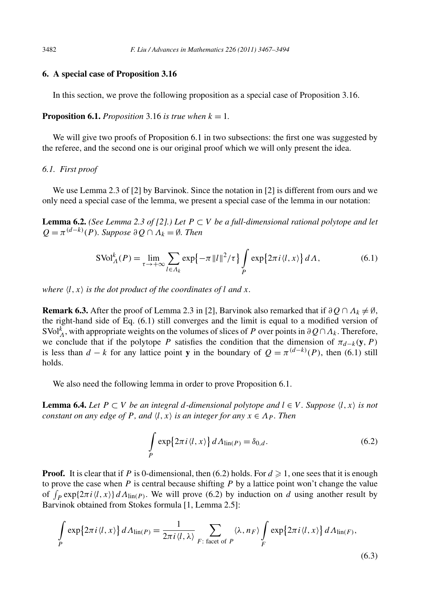#### **6. A special case of Proposition 3.16**

In this section, we prove the following proposition as a special case of Proposition 3.16.

**Proposition 6.1.** *Proposition* 3.16 *is true when*  $k = 1$ *.* 

We will give two proofs of Proposition 6.1 in two subsections: the first one was suggested by the referee, and the second one is our original proof which we will only present the idea.

#### *6.1. First proof*

We use Lemma 2.3 of [2] by Barvinok. Since the notation in [2] is different from ours and we only need a special case of the lemma, we present a special case of the lemma in our notation:

**Lemma 6.2.** *(See Lemma 2.3 of [2].) Let*  $P \subset V$  *be a full-dimensional rational polytope and let*  $Q = \pi^{(d-k)}(P)$ *. Suppose*  $\partial Q \cap \Lambda_k = \emptyset$ *. Then* 

$$
SVol_A^k(P) = \lim_{\tau \to +\infty} \sum_{l \in \Lambda_k} \exp\{-\pi ||l||^2 / \tau\} \int_P \exp\{2\pi i \langle l, x \rangle\} dA,\tag{6.1}
$$

*where*  $\langle l, x \rangle$  *is the dot product of the coordinates of l and x.* 

**Remark 6.3.** After the proof of Lemma 2.3 in [2], Barvinok also remarked that if  $\partial Q \cap \Lambda_k \neq \emptyset$ , the right-hand side of Eq. (6.1) still converges and the limit is equal to a modified version of SVol<sup>k</sup><sub>*Λ*</sub>, with appropriate weights on the volumes of slices of *P* over points in  $\partial Q \cap A_k$ . Therefore, we conclude that if the polytope *P* satisfies the condition that the dimension of  $\pi_{d-k}(\mathbf{y}, P)$ is less than *d* − *k* for any lattice point **y** in the boundary of  $Q = \pi^{(d-k)}(P)$ , then (6.1) still holds.

We also need the following lemma in order to prove Proposition 6.1.

**Lemma 6.4.** *Let*  $P \subset V$  *be an integral d-dimensional polytope and*  $l \in V$ *. Suppose*  $\langle l, x \rangle$  *is not constant on any edge of P, and*  $\langle l, x \rangle$  *is an integer for any*  $x \in \Lambda_P$ *. Then* 

$$
\int_{P} \exp\{2\pi i \langle l, x \rangle\} dA_{\text{lin}(P)} = \delta_{0,d}.
$$
\n(6.2)

**Proof.** It is clear that if *P* is 0-dimensional, then (6.2) holds. For  $d \ge 1$ , one sees that it is enough to prove the case when  $P$  is central because shifting  $P$  by a lattice point won't change the value of  $\int_P \exp\{2\pi i \langle l, x \rangle\} dA_{\text{lin}(P)}$ . We will prove (6.2) by induction on *d* using another result by Barvinok obtained from Stokes formula [1, Lemma 2.5]:

$$
\int_{P} \exp\{2\pi i \langle l, x \rangle\} dA_{\text{lin}(P)} = \frac{1}{2\pi i \langle l, \lambda \rangle} \sum_{F: \text{ facet of } P} \langle \lambda, n_F \rangle \int_{F} \exp\{2\pi i \langle l, x \rangle\} dA_{\text{lin}(F)},
$$
\n(6.3)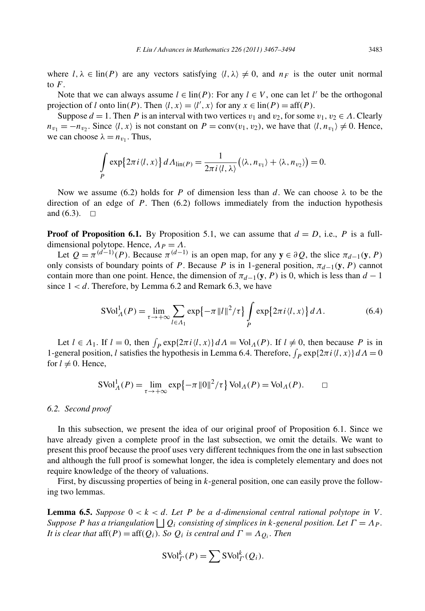where  $l, \lambda \in \text{lin}(P)$  are any vectors satisfying  $\langle l, \lambda \rangle \neq 0$ , and  $n_F$  is the outer unit normal to  $F$ .

Note that we can always assume  $l \in \text{lin}(P)$ : For any  $l \in V$ , one can let  $l'$  be the orthogonal projection of *l* onto  $\text{lin}(P)$ . Then  $\langle l, x \rangle = \langle l', x \rangle$  for any  $x \in \text{lin}(P) = \text{aff}(P)$ .

Suppose  $d = 1$ . Then *P* is an interval with two vertices  $v_1$  and  $v_2$ , for some  $v_1, v_2 \in A$ . Clearly  $n_{v_1} = -n_{v_2}$ . Since  $\langle l, x \rangle$  is not constant on  $P = \text{conv}(v_1, v_2)$ , we have that  $\langle l, n_{v_1} \rangle \neq 0$ . Hence, we can choose  $\lambda = n_{v_1}$ . Thus,

$$
\int_{P} \exp\{2\pi i \langle l, x \rangle\} dA_{\text{lin}(P)} = \frac{1}{2\pi i \langle l, \lambda \rangle} (\langle \lambda, n_{v_1} \rangle + \langle \lambda, n_{v_2} \rangle) = 0.
$$

Now we assume (6.2) holds for *P* of dimension less than *d*. We can choose  $\lambda$  to be the direction of an edge of *P*. Then (6.2) follows immediately from the induction hypothesis and  $(6.3)$ .  $\Box$ 

**Proof of Proposition 6.1.** By Proposition 5.1, we can assume that  $d = D$ , i.e., P is a fulldimensional polytope. Hence,  $\Lambda_P = \Lambda$ .

Let  $Q = \pi^{(d-1)}(P)$ . Because  $\pi^{(d-1)}$  is an open map, for any  $y \in \partial Q$ , the slice  $\pi_{d-1}(y, P)$ only consists of boundary points of *P*. Because *P* is in 1-general position,  $\pi_{d-1}(\mathbf{y}, P)$  cannot contain more than one point. Hence, the dimension of  $\pi_{d-1}(\mathbf{y}, P)$  is 0, which is less than  $d-1$ since  $1 < d$ . Therefore, by Lemma 6.2 and Remark 6.3, we have

$$
SVol_A^1(P) = \lim_{\tau \to +\infty} \sum_{l \in A_1} \exp\{-\pi ||l||^2 / \tau\} \int_P \exp\{2\pi i \langle l, x \rangle\} dA. \tag{6.4}
$$

Let  $l \in A_1$ . If  $l = 0$ , then  $\int_P \exp\{2\pi i \langle l, x \rangle\} dA = \text{Vol}_A(P)$ . If  $l \neq 0$ , then because *P* is in 1-general position, *l* satisfies the hypothesis in Lemma 6.4. Therefore,  $\int_P \exp\{2\pi i \langle l, x \rangle\} dA = 0$ for  $l \neq 0$ . Hence,

$$
\text{SVol}_{\Lambda}^{1}(P) = \lim_{\tau \to +\infty} \exp\{-\pi \, ||0||^{2}/\tau\} \, \text{Vol}_{\Lambda}(P) = \text{Vol}_{\Lambda}(P). \qquad \Box
$$

#### *6.2. Second proof*

In this subsection, we present the idea of our original proof of Proposition 6.1. Since we have already given a complete proof in the last subsection, we omit the details. We want to present this proof because the proof uses very different techniques from the one in last subsection and although the full proof is somewhat longer, the idea is completely elementary and does not require knowledge of the theory of valuations.

First, by discussing properties of being in *k*-general position, one can easily prove the following two lemmas.

**Lemma 6.5.** Suppose  $0 < k < d$ . Let P be a d-dimensional central rational polytope in V. *Suppose P* has a triangulation  $|Q_i|$  *consisting of simplices in k-general position. Let*  $\Gamma = \Lambda_p$ *. It is clear that*  $aff(P) = aff(Q_i)$ *. So*  $Q_i$  *is central and*  $\Gamma = A_{Q_i}$ *. Then* 

$$
\mathrm{SVol}_{\Gamma}^k(P) = \sum \mathrm{SVol}_{\Gamma}^k(Q_i).
$$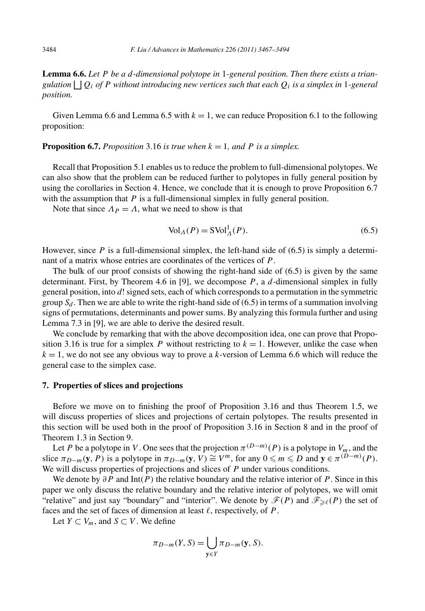**Lemma 6.6.** *Let P be a d-dimensional polytope in* 1*-general position. Then there exists a triangulation*  $|Q_i|$  *of P* without introducing new vertices such that each  $Q_i$  *is a simplex in* 1-general *position.*

Given Lemma 6.6 and Lemma 6.5 with  $k = 1$ , we can reduce Proposition 6.1 to the following proposition:

#### **Proposition 6.7.** *Proposition* 3.16 *is true when*  $k = 1$ *, and* P *is a simplex.*

Recall that Proposition 5.1 enables us to reduce the problem to full-dimensional polytopes. We can also show that the problem can be reduced further to polytopes in fully general position by using the corollaries in Section 4. Hence, we conclude that it is enough to prove Proposition 6.7 with the assumption that *P* is a full-dimensional simplex in fully general position.

Note that since  $\Lambda_P = \Lambda$ , what we need to show is that

$$
\text{Vol}_A(P) = \text{SVol}_A^1(P). \tag{6.5}
$$

However, since  $P$  is a full-dimensional simplex, the left-hand side of  $(6.5)$  is simply a determinant of a matrix whose entries are coordinates of the vertices of *P* .

The bulk of our proof consists of showing the right-hand side of (6.5) is given by the same determinant. First, by Theorem 4.6 in [9], we decompose *P* , a *d*-dimensional simplex in fully general position, into *d*! signed sets, each of which corresponds to a permutation in the symmetric group  $S_d$ . Then we are able to write the right-hand side of (6.5) in terms of a summation involving signs of permutations, determinants and power sums. By analyzing this formula further and using Lemma 7.3 in [9], we are able to derive the desired result.

We conclude by remarking that with the above decomposition idea, one can prove that Proposition 3.16 is true for a simplex *P* without restricting to  $k = 1$ . However, unlike the case when  $k = 1$ , we do not see any obvious way to prove a *k*-version of Lemma 6.6 which will reduce the general case to the simplex case.

#### **7. Properties of slices and projections**

Before we move on to finishing the proof of Proposition 3.16 and thus Theorem 1.5, we will discuss properties of slices and projections of certain polytopes. The results presented in this section will be used both in the proof of Proposition 3.16 in Section 8 and in the proof of Theorem 1.3 in Section 9.

Let *P* be a polytope in *V*. One sees that the projection  $\pi^{(D-m)}(P)$  is a polytope in  $V_m$ , and the slice  $\pi_{D-m}(\mathbf{y}, P)$  is a polytope in  $\pi_{D-m}(\mathbf{y}, V) \cong V^m$ , for any  $0 \leq m \leq D$  and  $\mathbf{y} \in \pi^{(D-m)}(P)$ . We will discuss properties of projections and slices of *P* under various conditions.

We denote by *∂P* and Int*(P )* the relative boundary and the relative interior of *P* . Since in this paper we only discuss the relative boundary and the relative interior of polytopes, we will omit "relative" and just say "boundary" and "interior". We denote by  $\mathcal{F}(P)$  and  $\mathcal{F}_{\geq \ell}(P)$  the set of faces and the set of faces of dimension at least  $\ell$ , respectively, of  $P$ .

Let *Y* ⊂ *V<sub>m</sub>*, and *S* ⊂ *V*. We define

$$
\pi_{D-m}(Y,S) = \bigcup_{\mathbf{y} \in Y} \pi_{D-m}(\mathbf{y}, S).
$$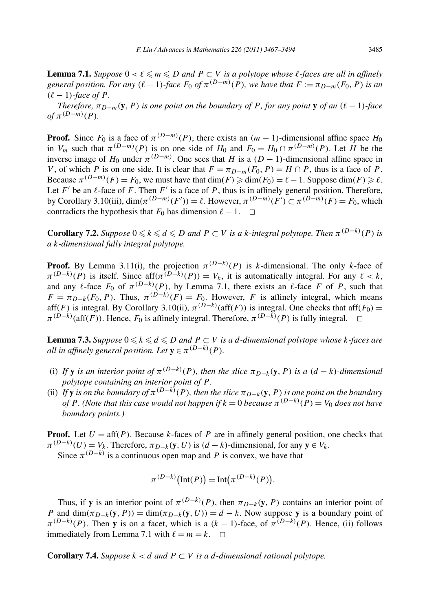**Lemma 7.1.** *Suppose*  $0 < \ell \leq m \leq D$  *and*  $P \subset V$  *is a polytope whose*  $\ell$ -faces are all *in affinely general position. For any*  $(\ell - 1)$ *-face*  $F_0$  *of*  $\pi^{(D-m)}(P)$ *, we have that*  $F := \pi_{D-m}(F_0, P)$  *is an*  $(\ell - 1)$ *-face of P.* 

*Therefore,*  $\pi_{D-m}(\mathbf{y},P)$  *is one point on the boundary of P*, *for any point* **y** *of an*  $(\ell-1)$ *-face*  $of$  $\pi^{(D-m)}(P)$ *.* 

**Proof.** Since  $F_0$  is a face of  $\pi^{(D-m)}(P)$ , there exists an  $(m-1)$ -dimensional affine space  $H_0$ in *V<sub>m</sub>* such that  $\pi^{(D-m)}(P)$  is on one side of *H*<sub>0</sub> and  $F_0 = H_0 \cap \pi^{(D-m)}(P)$ . Let *H* be the inverse image of  $H_0$  under  $\pi^{(D-m)}$ . One sees that *H* is a  $(D-1)$ -dimensional affine space in *V*, of which *P* is on one side. It is clear that  $F = \pi_{D-m}(F_0, P) = H \cap P$ , thus is a face of *P*. Because  $\pi^{(D-m)}(F) = F_0$ , we must have that  $\dim(F) \geq \dim(F_0) = \ell - 1$ . Suppose  $\dim(F) \geq \ell$ . Let  $F'$  be an  $\ell$ -face of  $F$ . Then  $F'$  is a face of  $P$ , thus is in affinely general position. Therefore, by Corollary 3.10(iii),  $\dim(\pi^{(D-m)}(F')) = \ell$ . However,  $\pi^{(D-m)}(F') \subset \pi^{(D-m)}(F) = F_0$ , which contradicts the hypothesis that  $F_0$  has dimension  $\ell - 1$ .  $\Box$ 

**Corollary 7.2.** Suppose  $0 \le k \le d \le D$  and  $P \subset V$  is a *k*-integral polytope. Then  $\pi^{(D-k)}(P)$  is *a k-dimensional fully integral polytope.*

**Proof.** By Lemma 3.11(i), the projection  $\pi^{(D-k)}(P)$  is *k*-dimensional. The only *k*-face of  $\pi^{(D-k)}(P)$  is itself. Since aff $(\pi^{(D-k)}(P)) = V_k$ , it is automatically integral. For any  $\ell < k$ , and any  $\ell$ -face  $F_0$  of  $\pi^{(D-k)}(P)$ , by Lemma 7.1, there exists an  $\ell$ -face *F* of *P*, such that  $F = \pi_{D-k}(F_0, P)$ . Thus,  $\pi^{(D-k)}(F) = F_0$ . However, *F* is affinely integral, which means aff*(F)* is integral. By Corollary 3.10(ii),  $\pi^{(D-k)}(\text{aff}(F))$  is integral. One checks that aff*(F<sub>0</sub>)* =  $\pi^{(D-k)}(\text{aff}(F))$ . Hence,  $F_0$  is affinely integral. Therefore,  $\pi^{(D-k)}(P)$  is fully integral.  $\Box$ 

**Lemma 7.3.** Suppose  $0 \leq k \leq d \leq D$  and  $P \subset V$  is a d-dimensional polytope whose k-faces are *all in affinely general position. Let*  $y \in \pi^{(D-k)}(P)$ *.* 

- (i) If **y** is an interior point of  $\pi^{(D-k)}(P)$ , then the slice  $\pi_{D-k}(\mathbf{y}, P)$  is a  $(d-k)$ *-dimensional polytope containing an interior point of P .*
- (ii) *If* **y** *is on the boundary of*  $\pi^{(D-k)}(P)$ *, then the slice*  $\pi_{D-k}(\mathbf{y}, P)$  *is one point on the boundary of P . (Note that this case would not happen if*  $k = 0$  *because*  $\pi^{(D-k)}(P) = V_0$  *does not have boundary points.)*

**Proof.** Let  $U = \text{aff}(P)$ . Because *k*-faces of *P* are in affinely general position, one checks that  $\pi^{(D-k)}(U) = V_k$ . Therefore,  $\pi_{D-k}(\mathbf{y}, U)$  is  $(d-k)$ -dimensional, for any  $\mathbf{y} \in V_k$ .

Since  $\pi^{(D-k)}$  is a continuous open map and *P* is convex, we have that

$$
\pi^{(D-k)}\big(\text{Int}(P)\big) = \text{Int}\big(\pi^{(D-k)}(P)\big).
$$

Thus, if **y** is an interior point of  $\pi^{(D-k)}(P)$ , then  $\pi_{D-k}(\mathbf{y}, P)$  contains an interior point of *P* and  $\dim(\pi_{D-k}(\mathbf{y}, P)) = \dim(\pi_{D-k}(\mathbf{y}, U)) = d - k$ . Now suppose **y** is a boundary point of  $\pi^{(D-k)}(P)$ . Then **y** is on a facet, which is a  $(k-1)$ -face, of  $\pi^{(D-k)}(P)$ . Hence, (ii) follows immediately from Lemma 7.1 with  $\ell = m = k$ .  $\Box$ 

**Corollary 7.4.** *Suppose*  $k < d$  *and*  $P \subset V$  *is a d-dimensional rational polytope.*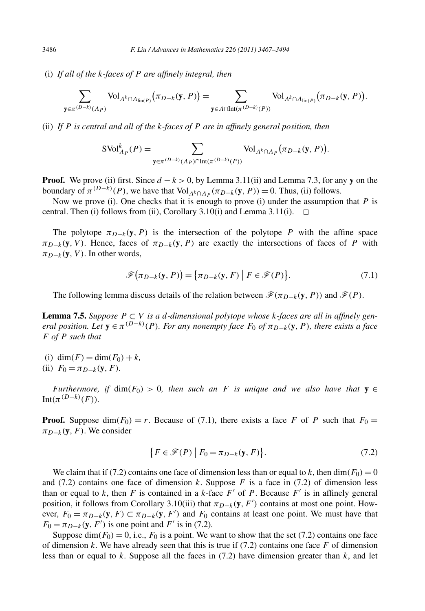(i) *If all of the k-faces of P are affinely integral, then*

$$
\sum_{\mathbf{y}\in\pi^{(D-k)}(\Lambda_P)} \text{Vol}_{\Lambda^k\cap\Lambda_{\text{lin}(P)}}(\pi_{D-k}(\mathbf{y}, P)) = \sum_{\mathbf{y}\in\Lambda\cap\text{Int}(\pi^{(D-k)}(P))} \text{Vol}_{\Lambda^k\cap\Lambda_{\text{lin}(P)}}(\pi_{D-k}(\mathbf{y}, P)).
$$

(ii) *If P is central and all of the k-faces of P are in affinely general position, then*

$$
SVol^k_{\Lambda_P}(P) = \sum_{\mathbf{y} \in \pi^{(D-k)}(\Lambda_P) \cap \text{Int}(\pi^{(D-k)}(P))} \text{Vol}_{\Lambda^k \cap \Lambda_P}(\pi_{D-k}(\mathbf{y}, P)).
$$

**Proof.** We prove (ii) first. Since  $d - k > 0$ , by Lemma 3.11(ii) and Lemma 7.3, for any **y** on the boundary of  $\pi^{(D-k)}(P)$ , we have that Vol<sub>*Λ*<sup>*k*</sup>∩*Λ*<sup>*p*</sup>( $\pi$ *D*−*k*(**y**, *P*)) = 0. Thus, (ii) follows.</sub>

Now we prove (i). One checks that it is enough to prove (i) under the assumption that *P* is central. Then (i) follows from (ii), Corollary 3.10(i) and Lemma 3.11(i).  $\Box$ 

The polytope  $\pi_{D-k}(\mathbf{y}, P)$  is the intersection of the polytope P with the affine space  $\pi_{D-k}(\mathbf{y}, V)$ . Hence, faces of  $\pi_{D-k}(\mathbf{y}, P)$  are exactly the intersections of faces of *P* with  $\pi_{D-k}(\mathbf{y}, V)$ . In other words,

$$
\mathscr{F}(\pi_{D-k}(\mathbf{y}, P)) = {\pi_{D-k}(\mathbf{y}, F) | F \in \mathscr{F}(P)}.
$$
\n(7.1)

The following lemma discuss details of the relation between  $\mathcal{F}(\pi_{D-k}(\mathbf{y}, P))$  and  $\mathcal{F}(P)$ .

**Lemma 7.5.** *Suppose*  $P ⊂ V$  *is a d*-dimensional polytope whose k-faces are all in affinely gen*eral position. Let*  $\mathbf{y} \in \pi^{(D-k)}(P)$ *. For any nonempty face*  $F_0$  *of*  $\pi_{D-k}(\mathbf{y}, P)$ *, there exists a face F of P such that*

- (i) dim $(F) = \dim(F_0) + k$ ,
- (ii)  $F_0 = \pi_{D-k}(\mathbf{y}, F)$ *.*

*Furthermore, if* dim $(F_0) > 0$ , then such an *F* is unique and we also have that **y**  $\in$  $Int(\pi^{(D-k)}(F)).$ 

**Proof.** Suppose dim $(F_0) = r$ . Because of (7.1), there exists a face *F* of *P* such that  $F_0 =$  $\pi_{D-k}(\mathbf{y}, F)$ . We consider

$$
\{F \in \mathcal{F}(P) \mid F_0 = \pi_{D-k}(\mathbf{y}, F)\}.
$$
\n(7.2)

We claim that if (7.2) contains one face of dimension less than or equal to *k*, then  $\dim(F_0) = 0$ and  $(7.2)$  contains one face of dimension *k*. Suppose *F* is a face in  $(7.2)$  of dimension less than or equal to  $k$ , then  $F$  is contained in a  $k$ -face  $F'$  of  $P$ . Because  $F'$  is in affinely general position, it follows from Corollary 3.10(iii) that  $\pi_{D-k}(\mathbf{y}, F')$  contains at most one point. However,  $F_0 = \pi_{D-k}(\mathbf{y}, F) \subset \pi_{D-k}(\mathbf{y}, F')$  and  $F_0$  contains at least one point. We must have that  $F_0 = \pi_{D-k}(\mathbf{y}, F')$  is one point and *F*<sup>'</sup> is in (7.2).

Suppose dim $(F_0) = 0$ , i.e.,  $F_0$  is a point. We want to show that the set (7.2) contains one face of dimension  $k$ . We have already seen that this is true if  $(7.2)$  contains one face  $F$  of dimension less than or equal to *k*. Suppose all the faces in (7.2) have dimension greater than *k*, and let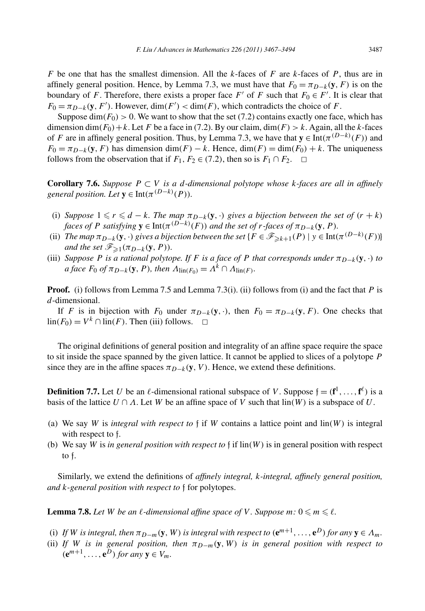*F* be one that has the smallest dimension. All the *k*-faces of *F* are *k*-faces of *P* , thus are in affinely general position. Hence, by Lemma 7.3, we must have that  $F_0 = \pi_{D-k}(\mathbf{y}, F)$  is on the boundary of *F*. Therefore, there exists a proper face  $F'$  of  $F$  such that  $F_0 \in F'$ . It is clear that  $F_0 = \pi_{D-k}(\mathbf{y}, F')$ . However, dim $(F') < \dim(F)$ , which contradicts the choice of *F*.

Suppose  $\dim(F_0) > 0$ . We want to show that the set (7.2) contains exactly one face, which has dimension dim $(F_0)$  + *k*. Let *F* be a face in (7.2). By our claim, dim $(F) > k$ . Again, all the *k*-faces of *F* are in affinely general position. Thus, by Lemma 7.3, we have that  $y \in Int(\pi^{(D-k)}(F))$  and  $F_0 = \pi_{D-k}(\mathbf{y}, F)$  has dimension dim $(F) - k$ . Hence, dim $(F) = \dim(F_0) + k$ . The uniqueness follows from the observation that if  $F_1, F_2 \in (7.2)$ , then so is  $F_1 \cap F_2$ .  $\Box$ 

**Corollary 7.6.** Suppose  $P \subset V$  is a *d*-dimensional polytope whose *k*-faces are all in affinely *general position. Let*  $\mathbf{y} \in \text{Int}(\pi^{(D-k)}(P)).$ 

- (i) *Suppose*  $1 \le r \le d k$ *. The map*  $\pi_{D-k}(\mathbf{y}, \cdot)$  *gives a bijection between the set of*  $(r + k)$ *faces of P satisfying*  $\mathbf{y} \in \text{Int}(\pi^{(D-k)}(F))$  *and the set of r-faces of*  $\pi_{D-k}(\mathbf{y}, P)$ *.*
- (ii) *The map*  $\pi_{D-k}(\mathbf{y}, \cdot)$  gives a bijection between the set { $F \in \mathscr{F}_{\geq k+1}(P) \mid y \in \text{Int}(\pi^{(D-k)}(F))$ } *and the set*  $\mathscr{F}_{\geq 1}(\pi_{D-k}(\mathbf{y}, P)).$
- (iii) *Suppose P is a rational polytope. If F is a face of P that corresponds under*  $\pi_{D-k}(\mathbf{y}, \cdot)$  *to*  $a$  *face*  $F_0$  *of*  $\pi_{D-k}(\mathbf{y}, P)$ *, then*  $\Lambda_{\text{lin}(F_0)} = \Lambda^k \cap \Lambda_{\text{lin}(F)}$ *.*

**Proof.** (i) follows from Lemma 7.5 and Lemma 7.3(i). (ii) follows from (i) and the fact that *P* is *d*-dimensional.

If *F* is in bijection with  $F_0$  under  $\pi_{D-k}(\mathbf{y}, \cdot)$ , then  $F_0 = \pi_{D-k}(\mathbf{y}, F)$ . One checks that lin( $F_0$ ) =  $V^k$  ∩ lin( $F$ ). Then (iii) follows.  $□$ 

The original definitions of general position and integrality of an affine space require the space to sit inside the space spanned by the given lattice. It cannot be applied to slices of a polytope *P* since they are in the affine spaces  $\pi_{D-k}(\mathbf{y}, V)$ . Hence, we extend these definitions.

**Definition 7.7.** Let *U* be an  $\ell$ -dimensional rational subspace of *V*. Suppose  $\mathfrak{f} = (\mathbf{f}^1, \ldots, \mathbf{f}^{\ell})$  is a basis of the lattice  $U \cap A$ . Let W be an affine space of V such that  $\text{lin}(W)$  is a subspace of U.

- (a) We say *W* is *integral with respect to*  $\frac{1}{2}$  if *W* contains a lattice point and lin(*W*) is integral with respect to f.
- (b) We say *W* is *in general position with respect to*  $\mathfrak{f}$  if  $\text{lin}(W)$  is in general position with respect to f.

Similarly, we extend the definitions of *affinely integral, k-integral, affinely general position, and k-general position with respect to* f for polytopes.

**Lemma 7.8.** Let W be an  $\ell$ -dimensional affine space of V. Suppose  $m: 0 \leq m \leq \ell$ .

- (i) If W is integral, then  $\pi_{D-m}(\mathbf{y}, W)$  is integral with respect to  $(\mathbf{e}^{m+1}, \dots, \mathbf{e}^D)$  for any  $\mathbf{y} \in \Lambda_m$ .
- (ii) If *W* is in general position, then  $\pi_{D-m}(\mathbf{y}, W)$  is in general position with respect to  $(e^{m+1}, \ldots, e^D)$  *for any*  $y \in V_m$ *.*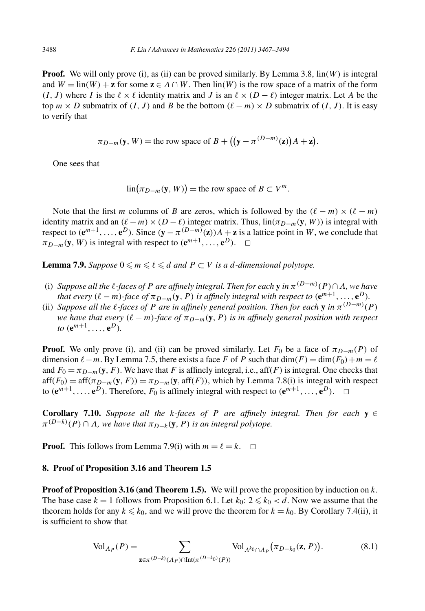**Proof.** We will only prove (i), as (ii) can be proved similarly. By Lemma 3.8, lin*(W )* is integral and  $W = \text{lin}(W) + \mathbf{z}$  for some  $\mathbf{z} \in A \cap W$ . Then  $\text{lin}(W)$  is the row space of a matrix of the form  $(I, J)$  where *I* is the  $\ell \times \ell$  identity matrix and *J* is an  $\ell \times (D - \ell)$  integer matrix. Let *A* be the top  $m \times D$  submatrix of  $(I, J)$  and B be the bottom  $(\ell - m) \times D$  submatrix of  $(I, J)$ . It is easy to verify that

$$
\pi_{D-m}(\mathbf{y}, W) = \text{the row space of } B + \left( (\mathbf{y} - \pi^{(D-m)}(\mathbf{z})) A + \mathbf{z} \right).
$$

One sees that

 $\lim(\pi_{D-m}(\mathbf{y}, W)) = \text{the row space of } B \subset V^m.$ 

Note that the first *m* columns of *B* are zeros, which is followed by the  $(\ell - m) \times (\ell - m)$ identity matrix and an  $(\ell - m) \times (D - \ell)$  integer matrix. Thus,  $\lim(\pi_{D-m}(\mathbf{y}, W))$  is integral with respect to  $(e^{m+1}, \ldots, e^D)$ . Since  $(y - \pi^{(D-m)}(z))A + z$  is a lattice point in *W*, we conclude that  $\pi_{D-m}(\mathbf{y}, W)$  is integral with respect to  $(\mathbf{e}^{m+1}, \ldots, \mathbf{e}^D)$ .  $\Box$ 

**Lemma 7.9.** *Suppose*  $0 \leq m \leq l \leq d$  *and*  $P \subset V$  *is a d-dimensional polytope.* 

- (i) *Suppose all the*  $\ell$ *-faces of P are affinely integral. Then for each* **y** *in*  $\pi^{(D-m)}(P) \cap \Lambda$ *, we have that every*  $(\ell - m)$ *-face of*  $\pi_{D-m}(\mathbf{y}, P)$  *is affinely integral with respect to*  $(\mathbf{e}^{m+1}, \ldots, \mathbf{e}^D)$ *.*
- (ii) *Suppose all the*  $\ell$ *-faces of P are in affinely general position. Then for each* **y** *in*  $\pi^{(D-m)}(P)$ *we have that every*  $(\ell - m)$ *-face of*  $\pi_{D-m}(\mathbf{y}, P)$  *is in affinely general position with respect*  $to$   $(e^{m+1}, \ldots, e^{D}).$

**Proof.** We only prove (i), and (ii) can be proved similarly. Let  $F_0$  be a face of  $\pi_{D-m}(P)$  of dimension  $\ell - m$ . By Lemma 7.5, there exists a face *F* of *P* such that  $\dim(F) = \dim(F_0) + m = \ell$ and  $F_0 = \pi_{D-m}(\mathbf{y}, F)$ . We have that *F* is affinely integral, i.e., aff(*F*) is integral. One checks that  $aff(F_0) = aff(\pi_{D-m}(\mathbf{y}, F)) = \pi_{D-m}(\mathbf{y}, aff(F))$ , which by Lemma 7.8(i) is integral with respect to  $(e^{m+1}, \ldots, e^D)$ . Therefore,  $F_0$  is affinely integral with respect to  $(e^{m+1}, \ldots, e^D)$ .  $\Box$ 

**Corollary 7.10.** *Suppose all the k*-faces of *P* are affinely integral. Then for each  $y \in$  $\pi^{(D-k)}(P) \cap \Lambda$ , we have that  $\pi_{D-k}(\mathbf{y},P)$  *is an integral polytope.* 

**Proof.** This follows from Lemma 7.9(i) with  $m = \ell = k$ .  $\Box$ 

## **8. Proof of Proposition 3.16 and Theorem 1.5**

**Proof of Proposition 3.16 (and Theorem 1.5).** We will prove the proposition by induction on *k*. The base case  $k = 1$  follows from Proposition 6.1. Let  $k_0: 2 \le k_0 < d$ . Now we assume that the theorem holds for any  $k \leq k_0$ , and we will prove the theorem for  $k = k_0$ . By Corollary 7.4(ii), it is sufficient to show that

$$
\text{Vol}_{\Lambda_P}(P) = \sum_{\mathbf{z} \in \pi^{(D-k)}(\Lambda_P) \cap \text{Int}(\pi^{(D-k_0)}(P))} \text{Vol}_{\Lambda^{k_0} \cap \Lambda_P}(\pi_{D-k_0}(\mathbf{z}, P)).
$$
(8.1)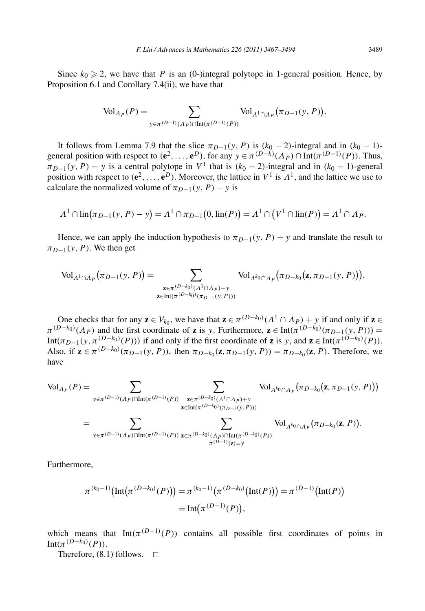Since  $k_0 \ge 2$ , we have that *P* is an (0-)integral polytope in 1-general position. Hence, by Proposition 6.1 and Corollary 7.4(ii), we have that

$$
\text{Vol}_{\Lambda_P}(P) = \sum_{y \in \pi^{(D-1)}(\Lambda_P) \cap \text{Int}(\pi^{(D-1)}(P))} \text{Vol}_{\Lambda^1 \cap \Lambda_P}(\pi_{D-1}(y, P)).
$$

It follows from Lemma 7.9 that the slice  $\pi_{D-1}(y, P)$  is  $(k_0 - 2)$ -integral and in  $(k_0 - 1)$ general position with respect to  $(e^2, ..., e^D)$ , for any  $y \in \pi^{(D-k)}(\Lambda_P) \cap \text{Int}(\pi^{(D-1)}(P))$ . Thus,  $\pi_{D-1}(y, P) - y$  is a central polytope in  $V^1$  that is  $(k_0 - 2)$ -integral and in  $(k_0 - 1)$ -general position with respect to  $(e^2, \ldots, e^D)$ . Moreover, the lattice in  $V^1$  is  $\Lambda^1$ , and the lattice we use to calculate the normalized volume of  $\pi_{D-1}(y, P) - y$  is

$$
\Lambda^1 \cap \lim(\pi_{D-1}(y, P) - y) = \Lambda^1 \cap \pi_{D-1}(0, \lim(P)) = \Lambda^1 \cap (V^1 \cap \lim(P)) = \Lambda^1 \cap \Lambda_P.
$$

Hence, we can apply the induction hypothesis to  $\pi_{D-1}(y, P) - y$  and translate the result to  $\pi_{D-1}(y, P)$ . We then get

$$
\text{Vol}_{\Lambda^1 \cap \Lambda_P}(\pi_{D-1}(y, P)) = \sum_{\substack{\mathbf{z} \in \pi^{(D-k_0)}(\Lambda^1 \cap \Lambda_P) + y \\ \mathbf{z} \in \text{Int}(\pi^{(D-k_0)}(\pi_{D-1}(y, P)))}} \text{Vol}_{\Lambda^k 0 \cap \Lambda_P}(\pi_{D-k_0}(\mathbf{z}, \pi_{D-1}(y, P))).
$$

One checks that for any  $\mathbf{z} \in V_{k_0}$ , we have that  $\mathbf{z} \in \pi^{(D-k_0)}(\Lambda^1 \cap \Lambda_P) + y$  if and only if  $\mathbf{z} \in \mathbb{R}$  $\pi^{(D-k_0)}(\Lambda_P)$  and the first coordinate of **z** is *y*. Furthermore, **z** ∈ Int $(\pi^{(D-k_0)}(\pi_{D-1}(y, P)))$  = Int $(\pi_{D-1}(y, \pi^{(D-k_0)}(P)))$  if and only if the first coordinate of **z** is y, and **z** ∈ Int $(\pi^{(D-k_0)}(P))$ . Also, if  $z \in \pi^{(D-k_0)}(\pi_{D-1}(y, P))$ , then  $\pi_{D-k_0}(z, \pi_{D-1}(y, P)) = \pi_{D-k_0}(z, P)$ . Therefore, we have

$$
Vol_{\Lambda_P}(P) = \sum_{y \in \pi^{(D-1)}(\Lambda_P) \cap Int(\pi^{(D-1)}(P))} \sum_{\substack{\mathbf{z} \in \pi^{(D-k_0)}(\Lambda^1 \cap \Lambda_P) + y \\ \mathbf{z} \in Int(\pi^{(D-k_0)}(\pi_{D-1}(y, P)))}} Vol_{\Lambda^k 0 \cap \Lambda_P} (\pi_{D-k_0}(\mathbf{z}, \pi_{D-1}(y, P)))
$$
  

$$
= \sum_{y \in \pi^{(D-1)}(\Lambda_P) \cap Int(\pi^{(D-1)}(P))} \sum_{\substack{\mathbf{z} \in \pi^{(D-k_0)}(\Lambda_P) \cap Int(\pi^{(D-k_0)}(P)) \\ \pi^{(D-1)}(\mathbf{z}) = y}} Vol_{\Lambda^k 0 \cap \Lambda_P} (\pi_{D-k_0}(\mathbf{z}, P)).
$$

Furthermore,

$$
\pi^{(k_0-1)}\big(\text{Int}(\pi^{(D-k_0)}(P))\big) = \pi^{(k_0-1)}\big(\pi^{(D-k_0)}\big(\text{Int}(P)\big)\big) = \pi^{(D-1)}\big(\text{Int}(P)\big)
$$

$$
= \text{Int}(\pi^{(D-1)}(P)),
$$

which means that  $Int(\pi^{(D-1)}(P))$  contains all possible first coordinates of points in  $Int(\pi^{(D-k_0)}(P)).$ 

Therefore,  $(8.1)$  follows.  $\Box$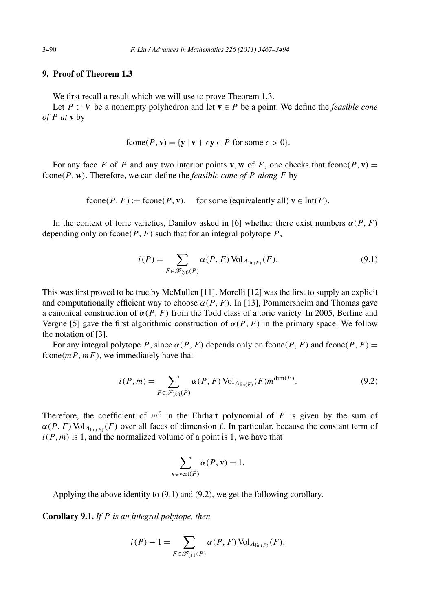## **9. Proof of Theorem 1.3**

We first recall a result which we will use to prove Theorem 1.3.

Let *P* ⊂ *V* be a nonempty polyhedron and let **v** ∈ *P* be a point. We define the *feasible cone of P at* **v** by

$$
fcone(P, \mathbf{v}) = \{ \mathbf{y} \mid \mathbf{v} + \epsilon \mathbf{y} \in P \text{ for some } \epsilon > 0 \}.
$$

For any face F of P and any two interior points **v**, **w** of F, one checks that fcone(P, **v**) = fcone*(P ,***w***)*. Therefore, we can define the *feasible cone of P along F* by

 $fcone(P, F) := fcone(P, v)$ , for some (equivalently all)  $v \in Int(F)$ .

In the context of toric varieties, Danilov asked in [6] whether there exist numbers  $\alpha(P, F)$ depending only on fcone $(P, F)$  such that for an integral polytope  $P$ ,

$$
i(P) = \sum_{F \in \mathcal{F}_{\geq 0}(P)} \alpha(P, F) \operatorname{Vol}_{\Lambda_{\operatorname{lin}(F)}}(F).
$$
\n(9.1)

This was first proved to be true by McMullen [11]. Morelli [12] was the first to supply an explicit and computationally efficient way to choose  $\alpha(P, F)$ . In [13], Pommersheim and Thomas gave a canonical construction of  $\alpha(P, F)$  from the Todd class of a toric variety. In 2005, Berline and Vergne [5] gave the first algorithmic construction of  $\alpha(P, F)$  in the primary space. We follow the notation of [3].

For any integral polytope *P*, since  $\alpha(P, F)$  depends only on fcone $(P, F)$  and fcone $(P, F)$  = fcone $(mP, mF)$ , we immediately have that

$$
i(P,m) = \sum_{F \in \mathcal{F}_{\geqslant 0}(P)} \alpha(P,F) \operatorname{Vol}_{\Lambda_{\mathrm{lin}(F)}}(F) m^{\dim(F)}.
$$
 (9.2)

Therefore, the coefficient of  $m^{\ell}$  in the Ehrhart polynomial of *P* is given by the sum of  $\alpha(P, F)$  Vol<sub> $\Lambda$ lin(F)</sub> (F) over all faces of dimension  $\ell$ . In particular, because the constant term of  $i(P, m)$  is 1, and the normalized volume of a point is 1, we have that

$$
\sum_{\mathbf{v}\in\text{vert}(P)} \alpha(P, \mathbf{v}) = 1.
$$

Applying the above identity to (9.1) and (9.2), we get the following corollary.

**Corollary 9.1.** *If P is an integral polytope, then*

$$
i(P) - 1 = \sum_{F \in \mathcal{F}_{\geq 1}(P)} \alpha(P, F) \operatorname{Vol}_{\Lambda_{\operatorname{lin}(F)}}(F),
$$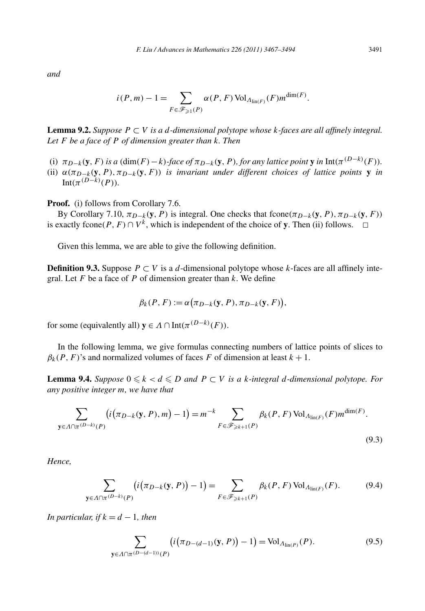*and*

$$
i(P,m) - 1 = \sum_{F \in \mathcal{F}_{\geq 1}(P)} \alpha(P, F) \operatorname{Vol}_{\Lambda_{\text{lin}(F)}}(F) m^{\dim(F)}.
$$

**Lemma 9.2.** *Suppose*  $P ⊂ V$  *is a d-dimensional polytope whose k-faces are all affinely integral. Let F be a face of P of dimension greater than k. Then*

- (i)  $\pi_{D-k}(y, F)$  is a  $(\dim(F) k)$ -face of  $\pi_{D-k}(y, P)$ , for any lattice point y in  $Int(\pi^{(D-k)}(F))$ .
- (ii)  $\alpha(\pi_{D-k}(\mathbf{y}, P), \pi_{D-k}(\mathbf{y}, F))$  *is invariant under different choices of lattice points* **y** *in*  $Int(\pi^{(D-k)}(P)).$

Proof. (i) follows from Corollary 7.6.

By Corollary 7.10,  $\pi_{D-k}(\mathbf{y}, P)$  is integral. One checks that fcone $(\pi_{D-k}(\mathbf{y}, P), \pi_{D-k}(\mathbf{y}, F))$ is exactly fcone $(P, F) \cap V^k$ , which is independent of the choice of **y**. Then (ii) follows.  $\Box$ 

Given this lemma, we are able to give the following definition.

**Definition 9.3.** Suppose  $P ⊂ V$  is a *d*-dimensional polytope whose *k*-faces are all affinely integral. Let *F* be a face of *P* of dimension greater than *k*. We define

$$
\beta_k(P, F) := \alpha \big( \pi_{D-k}(\mathbf{y}, P), \pi_{D-k}(\mathbf{y}, F) \big),
$$

for some (equivalently all)  $\mathbf{v} \in \Lambda \cap \text{Int}(\pi^{(D-k)}(F)).$ 

In the following lemma, we give formulas connecting numbers of lattice points of slices to  $\beta_k(P, F)$ 's and normalized volumes of faces *F* of dimension at least  $k + 1$ .

**Lemma 9.4.** *Suppose*  $0 \leq k < d \leq D$  *and*  $P \subset V$  *is a k*-integral *d*-dimensional polytope. For *any positive integer m, we have that*

$$
\sum_{\mathbf{y}\in\Lambda\cap\pi^{(D-k)}(P)}\left(i(\pi_{D-k}(\mathbf{y},P),m)-1\right)=m^{-k}\sum_{F\in\mathscr{F}_{\geq k+1}(P)}\beta_k(P,F)\operatorname{Vol}_{\Lambda_{\text{lin}(F)}}(F)m^{\dim(F)}.
$$
\n(9.3)

*Hence,*

$$
\sum_{\mathbf{y}\in\Lambda\cap\pi^{(D-k)}(P)}\left(i(\pi_{D-k}(\mathbf{y},P)) - 1\right) = \sum_{F\in\mathscr{F}_{\geq k+1}(P)}\beta_k(P,F)\operatorname{Vol}_{\Lambda_{\text{lin}(F)}}(F). \tag{9.4}
$$

*In particular, if*  $k = d - 1$ *, then* 

$$
\sum_{\mathbf{y} \in \Lambda \cap \pi^{(D-(d-1))}(P)} \left( i(\pi_{D-(d-1)}(\mathbf{y}, P)) - 1 \right) = \text{Vol}_{\Lambda_{\text{lin}(P)}}(P). \tag{9.5}
$$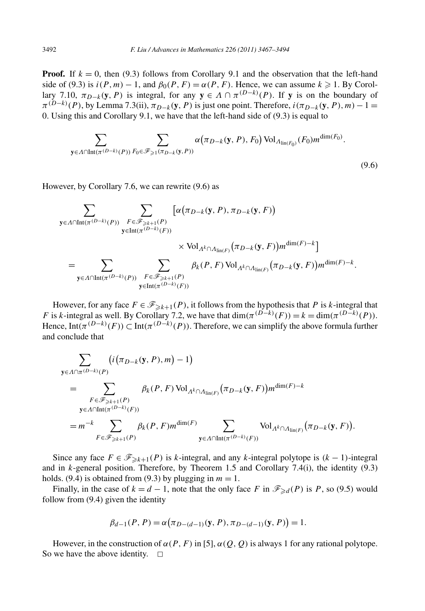**Proof.** If  $k = 0$ , then (9.3) follows from Corollary 9.1 and the observation that the left-hand side of (9.3) is  $i(P, m) - 1$ , and  $\beta_0(P, F) = \alpha(P, F)$ . Hence, we can assume  $k \ge 1$ . By Corollary 7.10,  $\pi_{D-k}(\mathbf{y}, P)$  is integral, for any  $\mathbf{y} \in A \cap \pi^{(D-k)}(P)$ . If **y** is on the boundary of  $\pi^{(D-k)}(P)$ , by Lemma 7.3(ii),  $\pi_{D-k}(\mathbf{y}, P)$  is just one point. Therefore,  $i(\pi_{D-k}(\mathbf{y}, P), m) - 1 =$ 0. Using this and Corollary 9.1, we have that the left-hand side of (9.3) is equal to

$$
\sum_{\mathbf{y}\in\Lambda\cap\text{Int}(\pi^{(D-k)}(P))}\sum_{F_0\in\mathscr{F}_{\geqslant 1}(\pi_{D-k}(\mathbf{y},P))}\alpha\big(\pi_{D-k}(\mathbf{y},P),F_0\big)\,\text{Vol}_{\Lambda_{\text{lin}(F_0)}}(F_0)m^{\dim(F_0)}.
$$
\n(9.6)

However, by Corollary 7.6, we can rewrite (9.6) as

$$
\sum_{\mathbf{y} \in \Lambda \cap \text{Int}(\pi^{(D-k)}(P))} \sum_{\substack{F \in \mathscr{F}_{\geq k+1}(P) \\ \mathbf{y} \in \text{Int}(\pi^{(D-k)}(F))}} [\alpha(\pi_{D-k}(\mathbf{y}, P), \pi_{D-k}(\mathbf{y}, F))
$$
\n
$$
\times \text{Vol}_{\Lambda^k \cap \Lambda_{\text{lin}(F)}} (\pi_{D-k}(\mathbf{y}, F)) m^{\dim(F)-k}]
$$
\n
$$
= \sum_{\mathbf{y} \in \Lambda \cap \text{Int}(\pi^{(D-k)}(P))} \sum_{\substack{F \in \mathscr{F}_{\geq k+1}(P) \\ \mathbf{y} \in \text{Int}(\pi^{(D-k)}(F))}} \beta_k(P, F) \text{ Vol}_{\Lambda^k \cap \Lambda_{\text{lin}(F)}} (\pi_{D-k}(\mathbf{y}, F)) m^{\dim(F)-k}.
$$

However, for any face  $F \in \mathcal{F}_{\geq k+1}(P)$ , it follows from the hypothesis that P is *k*-integral that *F* is *k*-integral as well. By Corollary 7.2, we have that  $\dim(\pi^{(D-k)}(F)) = k = \dim(\pi^{(D-k)}(P))$ . Hence, Int $(\pi^{(D-k)}(F)) \subset \text{Int}(\pi^{(D-k)}(P))$ . Therefore, we can simplify the above formula further and conclude that

$$
\sum_{\mathbf{y} \in \Lambda \cap \pi^{(D-k)}(P)} (i(\pi_{D-k}(\mathbf{y}, P), m) - 1)
$$
\n
$$
= \sum_{\substack{F \in \mathcal{F}_{\geq k+1}(P) \\ \mathbf{y} \in \Lambda \cap \text{Int}(\pi^{(D-k)}(F))}} \beta_k(P, F) \text{ Vol}_{\Lambda^k \cap \Lambda_{\text{lin}(F)}} (\pi_{D-k}(\mathbf{y}, F)) m^{\dim(F) - k}
$$
\n
$$
= m^{-k} \sum_{F \in \mathcal{F}_{\geq k+1}(P)} \beta_k(P, F) m^{\dim(F)} \sum_{\mathbf{y} \in \Lambda \cap \text{Int}(\pi^{(D-k)}(F))} \text{ Vol}_{\Lambda^k \cap \Lambda_{\text{lin}(F)}} (\pi_{D-k}(\mathbf{y}, F)).
$$

Since any face  $F \in \mathcal{F}_{\geq k+1}(P)$  is *k*-integral, and any *k*-integral polytope is  $(k-1)$ -integral and in *k*-general position. Therefore, by Theorem 1.5 and Corollary 7.4(i), the identity (9.3) holds. (9.4) is obtained from (9.3) by plugging in  $m = 1$ .

Finally, in the case of  $k = d - 1$ , note that the only face *F* in  $\mathscr{F}_{\geq d}(P)$  is *P*, so (9.5) would follow from (9.4) given the identity

$$
\beta_{d-1}(P, P) = \alpha(\pi_{D-(d-1)}(\mathbf{y}, P), \pi_{D-(d-1)}(\mathbf{y}, P)) = 1.
$$

However, in the construction of  $\alpha(P, F)$  in [5],  $\alpha(Q, Q)$  is always 1 for any rational polytope. So we have the above identity.  $\square$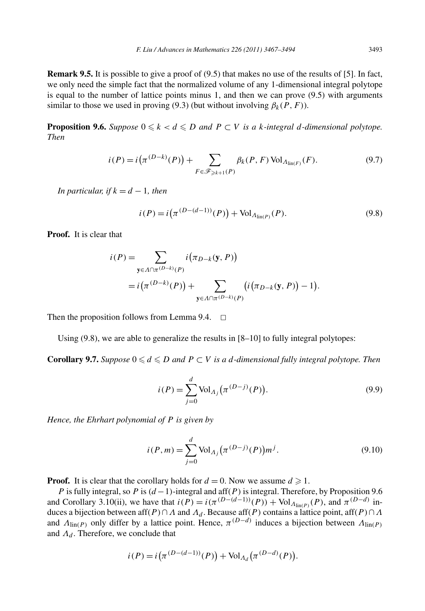**Remark 9.5.** It is possible to give a proof of (9.5) that makes no use of the results of [5]. In fact, we only need the simple fact that the normalized volume of any 1-dimensional integral polytope is equal to the number of lattice points minus 1, and then we can prove (9.5) with arguments similar to those we used in proving (9.3) (but without involving  $\beta_k(P, F)$ ).

**Proposition 9.6.** Suppose  $0 \le k < d \le D$  and  $P \subset V$  is a *k*-integral *d*-dimensional polytope. *Then*

$$
i(P) = i(\pi^{(D-k)}(P)) + \sum_{F \in \mathscr{F}_{\geq k+1}(P)} \beta_k(P, F) \operatorname{Vol}_{\Lambda_{\text{lin}(F)}}(F).
$$
 (9.7)

*In particular, if*  $k = d - 1$ *, then* 

$$
i(P) = i(\pi^{(D - (d-1))}(P)) + Vol_{\Lambda_{\text{lin}(P)}}(P).
$$
\n(9.8)

**Proof.** It is clear that

$$
i(P) = \sum_{\mathbf{y} \in \Lambda \cap \pi^{(D-k)}(P)} i(\pi_{D-k}(\mathbf{y}, P))
$$
  
=  $i(\pi^{(D-k)}(P)) + \sum_{\mathbf{y} \in \Lambda \cap \pi^{(D-k)}(P)} (i(\pi_{D-k}(\mathbf{y}, P)) - 1).$ 

Then the proposition follows from Lemma 9.4.  $\Box$ 

Using  $(9.8)$ , we are able to generalize the results in  $[8-10]$  to fully integral polytopes:

**Corollary 9.7.** *Suppose*  $0 \le d \le D$  *and*  $P \subset V$  *is a d-dimensional fully integral polytope. Then* 

$$
i(P) = \sum_{j=0}^{d} \text{Vol}_{\Lambda_j}(\pi^{(D-j)}(P)).
$$
\n(9.9)

*Hence, the Ehrhart polynomial of P is given by*

$$
i(P,m) = \sum_{j=0}^{d} \text{Vol}_{\Lambda_j}(\pi^{(D-j)}(P))m^j.
$$
 (9.10)

**Proof.** It is clear that the corollary holds for  $d = 0$ . Now we assume  $d \ge 1$ .

*P* is fully integral, so *P* is  $(d-1)$ -integral and aff $(P)$  is integral. Therefore, by Proposition 9.6 and Corollary 3.10(ii), we have that  $i(P) = i(\pi^{(D-(d-1))}(P)) + \text{Vol}_{\Lambda_{\text{lin}(P)}}(P)$ , and  $\pi^{(D-d)}$  induces a bijection between aff $(P) \cap \Lambda$  and  $\Lambda_d$ . Because aff $(P)$  contains a lattice point, aff $(P) \cap \Lambda$ and  $\Lambda_{\text{lin}(P)}$  only differ by a lattice point. Hence,  $\pi^{(D-d)}$  induces a bijection between  $\Lambda_{\text{lin}(P)}$ and *Λ<sub>d</sub>*. Therefore, we conclude that

$$
i(P) = i(\pi^{(D-(d-1))}(P)) + \text{Vol}_{A_d}(\pi^{(D-d)}(P)).
$$